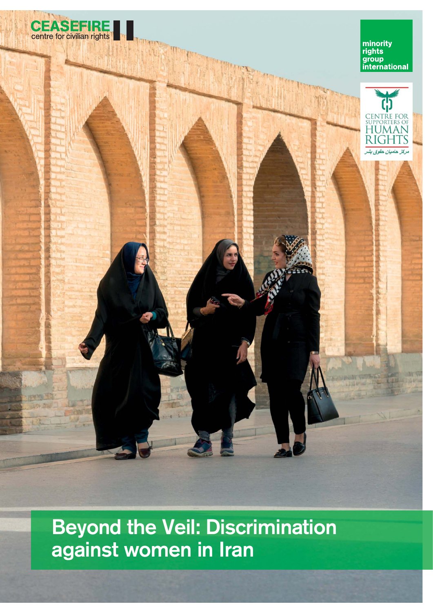

minority<br>rights<br>group<br>international



Beyond the Veil: Discrimination against women in Iran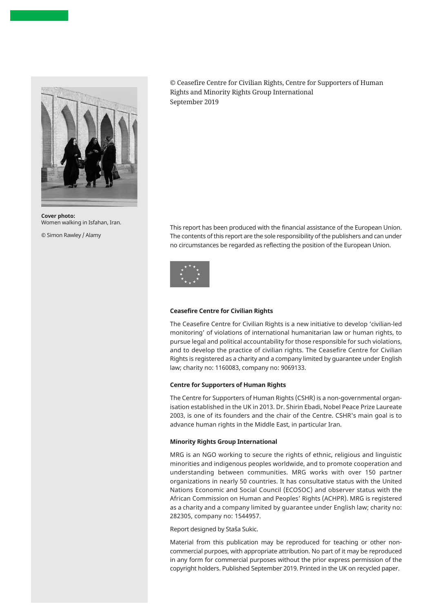

**Cover photo:** Women walking in Isfahan, Iran.

© Simon Rawley / Alamy

© Ceasefire Centre for Civilian Rights, Centre for Supporters of Human Rights and Minority Rights Group International September 2019

This report has been produced with the financial assistance of the European Union. The contents of this report are the sole responsibility of the publishers and can under no circumstances be regarded as reflecting the position of the European Union.



#### **Ceasefire Centre for Civilian Rights**

The Ceasefire Centre for Civilian Rights is a new initiative to develop 'civilian-led monitoring' of violations of international humanitarian law or human rights, to pursue legal and political accountability for those responsible for such violations, and to develop the practice of civilian rights. The Ceasefire Centre for Civilian Rights is registered as a charity and a company limited by guarantee under English law; charity no: 1160083, company no: 9069133.

#### **Centre for Supporters of Human Rights**

The Centre for Supporters of Human Rights (CSHR) is a non-governmental organisation established in the UK in 2013. Dr. Shirin Ebadi, Nobel Peace Prize Laureate 2003, is one of its founders and the chair of the Centre. CSHR's main goal is to advance human rights in the Middle East, in particular Iran.

#### **Minority Rights Group International**

MRG is an NGO working to secure the rights of ethnic, religious and linguistic minorities and indigenous peoples worldwide, and to promote cooperation and understanding between communities. MRG works with over 150 partner organizations in nearly 50 countries. It has consultative status with the United Nations Economic and Social Council (ECOSOC) and observer status with the African Commission on Human and Peoples' Rights (ACHPR). MRG is registered as a charity and a company limited by guarantee under English law; charity no: 282305, company no: 1544957.

#### Report designed by Staša Sukic.

Material from this publication may be reproduced for teaching or other noncommercial purpoes, with appropriate attribution. No part of it may be reproduced in any form for commercial purposes without the prior express permission of the copyright holders. Published September 2019. Printed in the UK on recycled paper.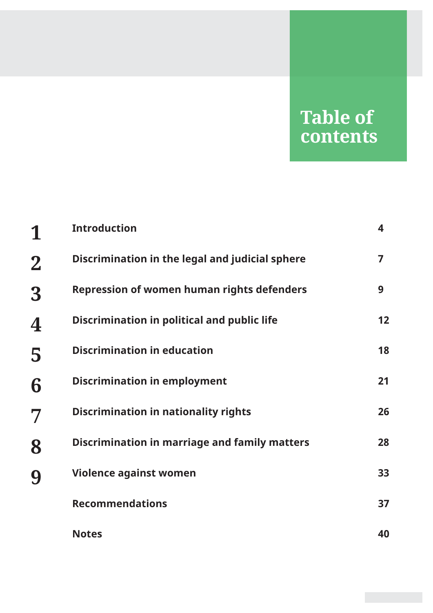# **Table of contents**

| 1           | <b>Introduction</b>                                  | 4  |
|-------------|------------------------------------------------------|----|
| $\mathbf 2$ | Discrimination in the legal and judicial sphere      | 7  |
| 3           | <b>Repression of women human rights defenders</b>    | 9  |
| 4           | Discrimination in political and public life          | 12 |
| 5           | <b>Discrimination in education</b>                   | 18 |
| 6           | <b>Discrimination in employment</b>                  | 21 |
| 7           | <b>Discrimination in nationality rights</b>          | 26 |
| 8           | <b>Discrimination in marriage and family matters</b> | 28 |
| 9           | <b>Violence against women</b>                        | 33 |
|             | <b>Recommendations</b>                               | 37 |
|             | <b>Notes</b>                                         | 40 |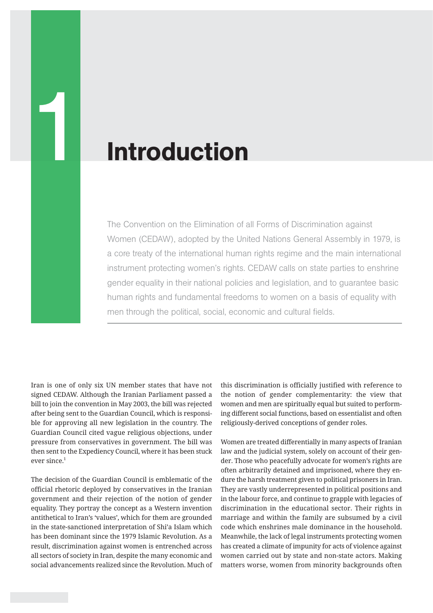# **Introduction**

The Convention on the Elimination of all Forms of Discrimination against Women (CEDAW), adopted by the United Nations General Assembly in 1979, is a core treaty of the international human rights regime and the main international instrument protecting women's rights. CEDAW calls on state parties to enshrine gender equality in their national policies and legislation, and to guarantee basic human rights and fundamental freedoms to women on a basis of equality with men through the political, social, economic and cultural fields.

Iran is one of only six UN member states that have not signed CEDAW. Although the Iranian Parliament passed a bill to join the convention in May 2003, the bill was rejected after being sent to the Guardian Council, which is responsible for approving all new legislation in the country. The Guardian Council cited vague religious objections, under pressure from conservatives in government. The bill was then sent to the Expediency Council, where it has been stuck ever since.<sup>1</sup>

The decision of the Guardian Council is emblematic of the official rhetoric deployed by conservatives in the Iranian government and their rejection of the notion of gender equality. They portray the concept as a Western invention antithetical to Iran's 'values', which for them are grounded in the state-sanctioned interpretation of Shi'a Islam which has been dominant since the 1979 Islamic Revolution. As a result, discrimination against women is entrenched across all sectors of society in Iran, despite the many economic and social advancements realized since the Revolution. Much of

this discrimination is officially justified with reference to the notion of gender complementarity: the view that women and men are spiritually equal but suited to performing different social functions, based on essentialist and often religiously-derived conceptions of gender roles.

Women are treated differentially in many aspects of Iranian law and the judicial system, solely on account of their gender. Those who peacefully advocate for women's rights are often arbitrarily detained and imprisoned, where they endure the harsh treatment given to political prisoners in Iran. They are vastly underrepresented in political positions and in the labour force, and continue to grapple with legacies of discrimination in the educational sector. Their rights in marriage and within the family are subsumed by a civil code which enshrines male dominance in the household. Meanwhile, the lack of legal instruments protecting women has created a climate of impunity for acts of violence against women carried out by state and non-state actors. Making matters worse, women from minority backgrounds often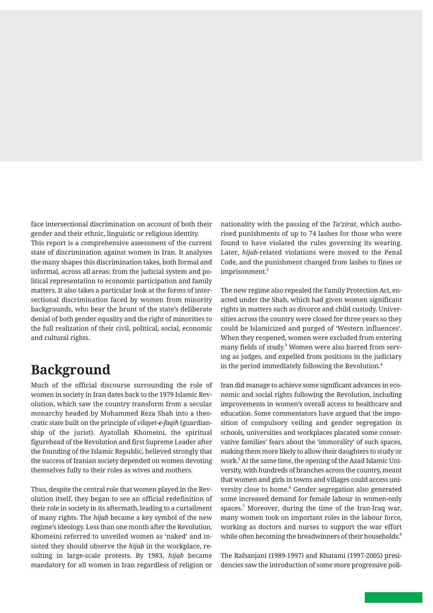face intersectional discrimination on account of both their gender and their ethnic, linguistic or religious identity. This report is a comprehensive assessment of the current state of discrimination against women in Iran. It analyses the many shapes this discrimination takes, both formal and informal, across all areas: from the judicial system and political representation to economic participation and family matters. It also takes a particular look at the forms of intersectional discrimination faced by women from minority backgrounds, who bear the brunt of the state's deliberate denial of both gender equality and the right of minorities to the full realization of their civil, political, social, economic and cultural rights.

## **Background**

Much of the official discourse surrounding the role of women in society in Iran dates back to the 1979 Islamic Revolution, which saw the country transform from a secular monarchy headed by Mohammed Reza Shah into a theocratic state built on the principle of *vilayet-e-faqih* (guardianship of the jurist). Ayatollah Khomeini, the spiritual figurehead of the Revolution and first Supreme Leader after the founding of the Islamic Republic, believed strongly that the success of Iranian society depended on women devoting themselves fully to their roles as wives and mothers.

Thus, despite the central role that women played in the Revolution itself, they began to see an official redefinition of their role in society in its aftermath, leading to a curtailment of many rights. The *hijab* became a key symbol of the new regime's ideology. Less than one month after the Revolution, Khomeini referred to unveiled women as 'naked' and insisted they should observe the *hijab* in the workplace, resulting in large-scale protests. By 1983, *hijab* became mandatory for all women in Iran regardless of religion or

nationality with the passing of the *Ta'zirat*, which authorised punishments of up to 74 lashes for those who were found to have violated the rules governing its wearing. Later, *hijab*-related violations were moved to the Penal Code, and the punishment changed from lashes to fines or imprisonment.<sup>2</sup>

The new regime also repealed the Family Protection Act, enacted under the Shah, which had given women significant rights in matters such as divorce and child custody. Universities across the country were closed for three years so they could be Islamicized and purged of 'Western influences'. When they reopened, women were excluded from entering many fields of study.<sup>3</sup> Women were also barred from serving as judges, and expelled from positions in the judiciary in the period immediately following the Revolution.<sup>4</sup>

Iran did manage to achieve some significant advances in economic and social rights following the Revolution, including improvements in women's overall access to healthcare and education. Some commentators have argued that the imposition of compulsory veiling and gender segregation in schools, universities and workplaces placated some conservative families' fears about the 'immorality' of such spaces, making them more likely to allow their daughters to study or work.5 At the same time, the opening of the Azad Islamic University, with hundreds of branches across the country, meant that women and girls in towns and villages could access university close to home.<sup>6</sup> Gender segregation also generated some increased demand for female labour in women-only spaces.7 Moreover, during the time of the Iran-Iraq war, many women took on important roles in the labour force, working as doctors and nurses to support the war effort while often becoming the breadwinners of their households.<sup>8</sup>

The Rafsanjani (1989-1997) and Khatami (1997-2005) presidencies saw the introduction of some more progressive poli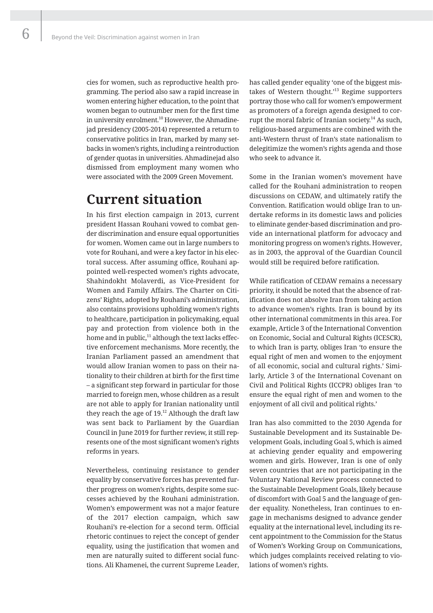cies for women, such as reproductive health programming. The period also saw a rapid increase in women entering higher education, to the point that women began to outnumber men for the first time in university enrolment.<sup>10</sup> However, the Ahmadinejad presidency (2005-2014) represented a return to conservative politics in Iran, marked by many setbacks in women's rights, including a reintroduction of gender quotas in universities. Ahmadinejad also dismissed from employment many women who were associated with the 2009 Green Movement.

### **Current situation**

In his first election campaign in 2013, current president Hassan Rouhani vowed to combat gender discrimination and ensure equal opportunities for women. Women came out in large numbers to vote for Rouhani, and were a key factor in his electoral success. After assuming office, Rouhani appointed well-respected women's rights advocate, Shahindokht Molaverdi, as Vice-President for Women and Family Affairs. The Charter on Citizens' Rights, adopted by Rouhani's administration, also contains provisions upholding women's rights to healthcare, participation in policymaking, equal pay and protection from violence both in the home and in public,<sup>11</sup> although the text lacks effective enforcement mechanisms. More recently, the Iranian Parliament passed an amendment that would allow Iranian women to pass on their nationality to their children at birth for the first time – a significant step forward in particular for those married to foreign men, whose children as a result are not able to apply for Iranian nationality until they reach the age of  $19<sup>12</sup>$  Although the draft law was sent back to Parliament by the Guardian Council in June 2019 for further review, it still represents one of the most significant women's rights reforms in years.

Nevertheless, continuing resistance to gender equality by conservative forces has prevented further progress on women's rights, despite some successes achieved by the Rouhani administration. Women's empowerment was not a major feature of the 2017 election campaign, which saw Rouhani's re-election for a second term. Official rhetoric continues to reject the concept of gender equality, using the justification that women and men are naturally suited to different social functions. Ali Khamenei, the current Supreme Leader, has called gender equality 'one of the biggest mistakes of Western thought.<sup>13</sup> Regime supporters portray those who call for women's empowerment as promoters of a foreign agenda designed to corrupt the moral fabric of Iranian society.<sup>14</sup> As such, religious-based arguments are combined with the anti-Western thrust of Iran's state nationalism to delegitimize the women's rights agenda and those who seek to advance it.

Some in the Iranian women's movement have called for the Rouhani administration to reopen discussions on CEDAW, and ultimately ratify the Convention. Ratification would oblige Iran to undertake reforms in its domestic laws and policies to eliminate gender-based discrimination and provide an international platform for advocacy and monitoring progress on women's rights. However, as in 2003, the approval of the Guardian Council would still be required before ratification.

While ratification of CEDAW remains a necessary priority, it should be noted that the absence of ratification does not absolve Iran from taking action to advance women's rights. Iran is bound by its other international commitments in this area. For example, Article 3 of the International Convention on Economic, Social and Cultural Rights (ICESCR), to which Iran is party, obliges Iran 'to ensure the equal right of men and women to the enjoyment of all economic, social and cultural rights.' Similarly, Article 3 of the International Covenant on Civil and Political Rights (ICCPR) obliges Iran 'to ensure the equal right of men and women to the enjoyment of all civil and political rights.'

Iran has also committed to the 2030 Agenda for Sustainable Development and its Sustainable Development Goals, including Goal 5, which is aimed at achieving gender equality and empowering women and girls. However, Iran is one of only seven countries that are not participating in the Voluntary National Review process connected to the Sustainable Development Goals, likely because of discomfort with Goal 5 and the language of gender equality. Nonetheless, Iran continues to engage in mechanisms designed to advance gender equality at the international level, including its recent appointment to the Commission for the Status of Women's Working Group on Communications, which judges complaints received relating to violations of women's rights.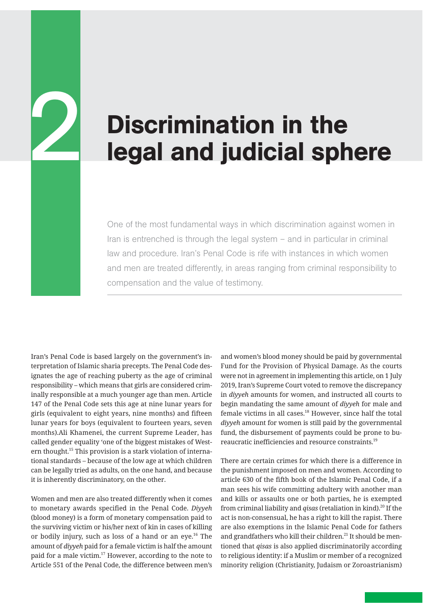# Discrimination in the legal and judicial sphere

One of the most fundamental ways in which discrimination against women in Iran is entrenched is through the legal system – and in particular in criminal law and procedure. Iran's Penal Code is rife with instances in which women and men are treated differently, in areas ranging from criminal responsibility to compensation and the value of testimony.

Iran's Penal Code is based largely on the government's interpretation of Islamic sharia precepts. The Penal Code designates the age of reaching puberty as the age of criminal responsibility – which means that girls are considered criminally responsible at a much younger age than men. Article 147 of the Penal Code sets this age at nine lunar years for girls (equivalent to eight years, nine months) and fifteen lunar years for boys (equivalent to fourteen years, seven months).Ali Khamenei, the current Supreme Leader, has called gender equality 'one of the biggest mistakes of Western thought.<sup>15</sup> This provision is a stark violation of international standards – because of the low age at which children can be legally tried as adults, on the one hand, and because it is inherently discriminatory, on the other.

2

Women and men are also treated differently when it comes to monetary awards specified in the Penal Code. *Diyyeh* (blood money) is a form of monetary compensation paid to the surviving victim or his/her next of kin in cases of killing or bodily injury, such as loss of a hand or an eye.<sup>16</sup> The amount of *diyyeh* paid for a female victim is half the amount paid for a male victim.17 However, according to the note to Article 551 of the Penal Code, the difference between men's

and women's blood money should be paid by governmental Fund for the Provision of Physical Damage. As the courts were not in agreement in implementing this article, on 1 July 2019, Iran's Supreme Court voted to remove the discrepancy in *diyyeh* amounts for women, and instructed all courts to begin mandating the same amount of *diyyeh* for male and female victims in all cases.<sup>18</sup> However, since half the total *diyyeh* amount for women is still paid by the governmental fund, the disbursement of payments could be prone to bureaucratic inefficiencies and resource constraints.19

There are certain crimes for which there is a difference in the punishment imposed on men and women. According to article 630 of the fifth book of the Islamic Penal Code, if a man sees his wife committing adultery with another man and kills or assaults one or both parties, he is exempted from criminal liability and *qisas* (retaliation in kind).<sup>20</sup> If the act is non-consensual, he has a right to kill the rapist. There are also exemptions in the Islamic Penal Code for fathers and grandfathers who kill their children. $^{21}$  It should be mentioned that *qisas* is also applied discriminatorily according to religious identity: if a Muslim or member of a recognized minority religion (Christianity, Judaism or Zoroastrianism)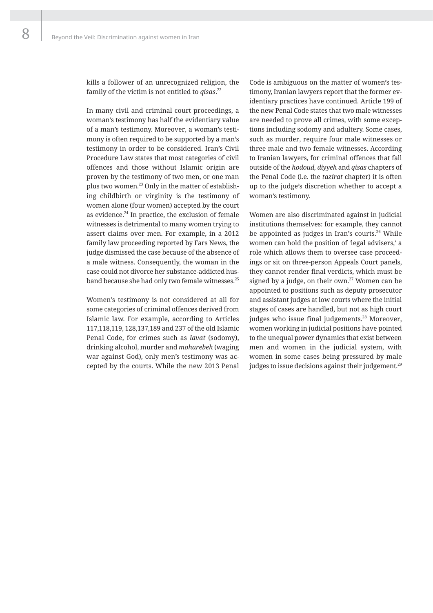kills a follower of an unrecognized religion, the family of the victim is not entitled to *qisas*. 22

In many civil and criminal court proceedings, a woman's testimony has half the evidentiary value of a man's testimony. Moreover, a woman's testimony is often required to be supported by a man's testimony in order to be considered. Iran's Civil Procedure Law states that most categories of civil offences and those without Islamic origin are proven by the testimony of two men, or one man plus two women.<sup>23</sup> Only in the matter of establishing childbirth or virginity is the testimony of women alone (four women) accepted by the court as evidence. $^{24}$  In practice, the exclusion of female witnesses is detrimental to many women trying to assert claims over men. For example, in a 2012 family law proceeding reported by Fars News, the judge dismissed the case because of the absence of a male witness. Consequently, the woman in the case could not divorce her substance-addicted husband because she had only two female witnesses.<sup>25</sup>

Women's testimony is not considered at all for some categories of criminal offences derived from Islamic law. For example, according to Articles 117,118,119, 128,137,189 and 237 of the old Islamic Penal Code, for crimes such as *lavat* (sodomy), drinking alcohol, murder and *moharebeh* (waging war against God), only men's testimony was accepted by the courts. While the new 2013 Penal

Code is ambiguous on the matter of women's testimony, Iranian lawyers report that the former evidentiary practices have continued. Article 199 of the new Penal Code states that two male witnesses are needed to prove all crimes, with some exceptions including sodomy and adultery. Some cases, such as murder, require four male witnesses or three male and two female witnesses. According to Iranian lawyers, for criminal offences that fall outside of the *hodoud, diyyeh* and *qisas* chapters of the Penal Code (i.e. the *tazirat* chapter) it is often up to the judge's discretion whether to accept a woman's testimony.

Women are also discriminated against in judicial institutions themselves: for example, they cannot be appointed as judges in Iran's courts.<sup>26</sup> While women can hold the position of 'legal advisers,' a role which allows them to oversee case proceedings or sit on three-person Appeals Court panels, they cannot render final verdicts, which must be signed by a judge, on their own. $27$  Women can be appointed to positions such as deputy prosecutor and assistant judges at low courts where the initial stages of cases are handled, but not as high court judges who issue final judgements.<sup>28</sup> Moreover, women working in judicial positions have pointed to the unequal power dynamics that exist between men and women in the judicial system, with women in some cases being pressured by male judges to issue decisions against their judgement.<sup>29</sup>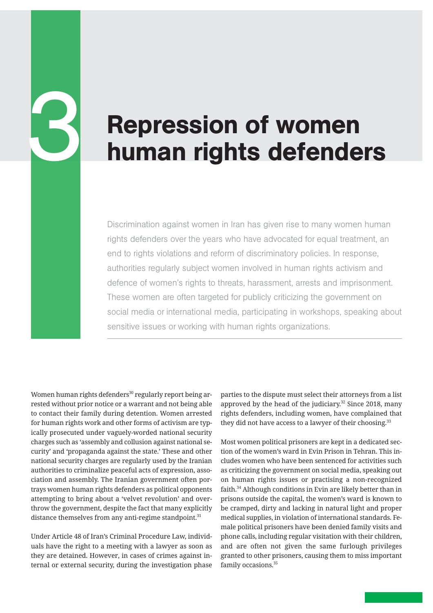# Repression of women human rights defenders

Discrimination against women in Iran has given rise to many women human rights defenders over the years who have advocated for equal treatment, an end to rights violations and reform of discriminatory policies. In response, authorities regularly subject women involved in human rights activism and defence of women's rights to threats, harassment, arrests and imprisonment. These women are often targeted for publicly criticizing the government on social media or international media, participating in workshops, speaking about sensitive issues or working with human rights organizations.

Women human rights defenders $30$  regularly report being arrested without prior notice or a warrant and not being able to contact their family during detention. Women arrested for human rights work and other forms of activism are typically prosecuted under vaguely-worded national security charges such as 'assembly and collusion against national security' and 'propaganda against the state.' These and other national security charges are regularly used by the Iranian authorities to criminalize peaceful acts of expression, association and assembly. The Iranian government often portrays women human rights defenders as political opponents attempting to bring about a 'velvet revolution' and overthrow the government, despite the fact that many explicitly distance themselves from any anti-regime standpoint.<sup>31</sup>

6

Under Article 48 of Iran's Criminal Procedure Law, individuals have the right to a meeting with a lawyer as soon as they are detained. However, in cases of crimes against internal or external security, during the investigation phase parties to the dispute must select their attorneys from a list approved by the head of the judiciary. $32$  Since 2018, many rights defenders, including women, have complained that they did not have access to a lawyer of their choosing.<sup>33</sup>

Most women political prisoners are kept in a dedicated section of the women's ward in Evin Prison in Tehran. This includes women who have been sentenced for activities such as criticizing the government on social media, speaking out on human rights issues or practising a non-recognized faith.<sup>34</sup> Although conditions in Evin are likely better than in prisons outside the capital, the women's ward is known to be cramped, dirty and lacking in natural light and proper medical supplies, in violation of international standards. Female political prisoners have been denied family visits and phone calls, including regular visitation with their children, and are often not given the same furlough privileges granted to other prisoners, causing them to miss important family occasions.<sup>35</sup>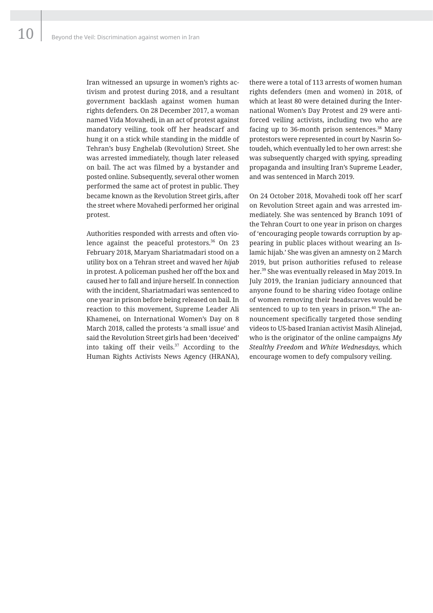Iran witnessed an upsurge in women's rights activism and protest during 2018, and a resultant government backlash against women human rights defenders. On 28 December 2017, a woman named Vida Movahedi, in an act of protest against mandatory veiling, took off her headscarf and hung it on a stick while standing in the middle of Tehran's busy Enghelab (Revolution) Street. She was arrested immediately, though later released on bail. The act was filmed by a bystander and posted online. Subsequently, several other women performed the same act of protest in public. They became known as the Revolution Street girls, after the street where Movahedi performed her original protest.

Authorities responded with arrests and often violence against the peaceful protestors. $36$  On 23 February 2018, Maryam Shariatmadari stood on a utility box on a Tehran street and waved her *hijab* in protest. A policeman pushed her off the box and caused her to fall and injure herself. In connection with the incident, Shariatmadari was sentenced to one year in prison before being released on bail. In reaction to this movement, Supreme Leader Ali Khamenei, on International Women's Day on 8 March 2018, called the protests 'a small issue' and said the Revolution Street girls had been 'deceived' into taking off their veils.<sup>37</sup> According to the Human Rights Activists News Agency (HRANA), there were a total of 113 arrests of women human rights defenders (men and women) in 2018, of which at least 80 were detained during the International Women's Day Protest and 29 were antiforced veiling activists, including two who are facing up to 36-month prison sentences.<sup>38</sup> Many protestors were represented in court by Nasrin Sotoudeh, which eventually led to her own arrest: she was subsequently charged with spying, spreading propaganda and insulting Iran's Supreme Leader, and was sentenced in March 2019.

On 24 October 2018, Movahedi took off her scarf on Revolution Street again and was arrested immediately. She was sentenced by Branch 1091 of the Tehran Court to one year in prison on charges of 'encouraging people towards corruption by appearing in public places without wearing an Islamic hijab.' She was given an amnesty on 2 March 2019, but prison authorities refused to release her.39 She was eventually released in May 2019. In July 2019, the Iranian judiciary announced that anyone found to be sharing video footage online of women removing their headscarves would be sentenced to up to ten years in prison.<sup>40</sup> The announcement specifically targeted those sending videos to US-based Iranian activist Masih Alinejad, who is the originator of the online campaigns *My Stealthy Freedom* and *White Wednesdays,* which encourage women to defy compulsory veiling.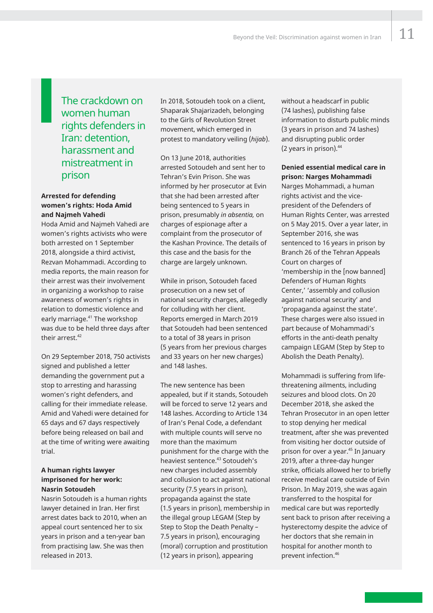### The crackdown on women human rights defenders in Iran: detention, harassment and mistreatment in prison

#### **Arrested for defending women's rights: Hoda Amid and Najmeh Vahedi**

Hoda Amid and Najmeh Vahedi are women's rights activists who were both arrested on 1 September 2018, alongside a third activist, Rezvan Mohammadi. According to media reports, the main reason for their arrest was their involvement in organizing a workshop to raise awareness of women's rights in relation to domestic violence and early marriage.<sup>41</sup> The workshop was due to be held three days after their arrest.<sup>42</sup>

On 29 September 2018, 750 activists signed and published a letter demanding the government put a stop to arresting and harassing women's right defenders, and calling for their immediate release. Amid and Vahedi were detained for 65 days and 67 days respectively before being released on bail and at the time of writing were awaiting trial.

#### **A human rights lawyer imprisoned for her work: Nasrin Sotoudeh**

Nasrin Sotoudeh is a human rights lawyer detained in Iran. Her first arrest dates back to 2010, when an appeal court sentenced her to six years in prison and a ten-year ban from practising law. She was then released in 2013.

In 2018, Sotoudeh took on a client, Shaparak Shajarizadeh, belonging to the Girls of Revolution Street movement, which emerged in protest to mandatory veiling (*hijab*).

On 13 June 2018, authorities arrested Sotoudeh and sent her to Tehran's Evin Prison. She was informed by her prosecutor at Evin that she had been arrested after being sentenced to 5 years in prison, presumably *in absentia,* on charges of espionage after a complaint from the prosecutor of the Kashan Province. The details of this case and the basis for the charge are largely unknown.

While in prison, Sotoudeh faced prosecution on a new set of national security charges, allegedly for colluding with her client. Reports emerged in March 2019 that Sotoudeh had been sentenced to a total of 38 years in prison (5 years from her previous charges and 33 years on her new charges) and 148 lashes.

The new sentence has been appealed, but if it stands, Sotoudeh will be forced to serve 12 years and 148 lashes. According to Article 134 of Iran's Penal Code, a defendant with multiple counts will serve no more than the maximum punishment for the charge with the heaviest sentence.<sup>43</sup> Sotoudeh's new charges included assembly and collusion to act against national security (7.5 years in prison), propaganda against the state (1.5 years in prison), membership in the illegal group LEGAM (Step by Step to Stop the Death Penalty – 7.5 years in prison), encouraging (moral) corruption and prostitution (12 years in prison), appearing

without a headscarf in public (74 lashes), publishing false information to disturb public minds (3 years in prison and 74 lashes) and disrupting public order (2 years in prison).44

#### **Denied essential medical care in prison: Narges Mohammadi**

Narges Mohammadi, a human rights activist and the vicepresident of the Defenders of Human Rights Center, was arrested on 5 May 2015. Over a year later, in September 2016, she was sentenced to 16 years in prison by Branch 26 of the Tehran Appeals Court on charges of 'membership in the [now banned] Defenders of Human Rights Center,' 'assembly and collusion against national security' and 'propaganda against the state'. These charges were also issued in part because of Mohammadi's efforts in the anti-death penalty campaign LEGAM (Step by Step to Abolish the Death Penalty).

Mohammadi is suffering from lifethreatening ailments, including seizures and blood clots. On 20 December 2018, she asked the Tehran Prosecutor in an open letter to stop denying her medical treatment, after she was prevented from visiting her doctor outside of prison for over a year.45 In January 2019, after a three-day hunger strike, officials allowed her to briefly receive medical care outside of Evin Prison. In May 2019, she was again transferred to the hospital for medical care but was reportedly sent back to prison after receiving a hysterectomy despite the advice of her doctors that she remain in hospital for another month to prevent infection.46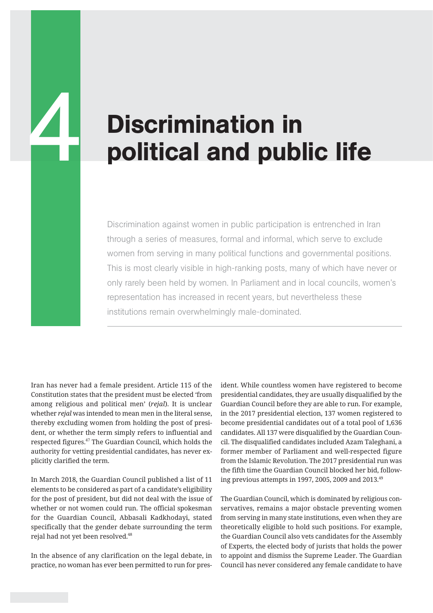# **Discrimination in<br>political and public life**

Discrimination against women in public participation is entrenched in Iran through a series of measures, formal and informal, which serve to exclude women from serving in many political functions and governmental positions. This is most clearly visible in high-ranking posts, many of which have never or only rarely been held by women. In Parliament and in local councils, women's representation has increased in recent years, but nevertheless these institutions remain overwhelmingly male-dominated.

Iran has never had a female president. Article 115 of the Constitution states that the president must be elected 'from among religious and political men' (*rejal*). It is unclear whether *rejal* was intended to mean men in the literal sense, thereby excluding women from holding the post of president, or whether the term simply refers to influential and respected figures.47 The Guardian Council, which holds the authority for vetting presidential candidates, has never explicitly clarified the term.

In March 2018, the Guardian Council published a list of 11 elements to be considered as part of a candidate's eligibility for the post of president, but did not deal with the issue of whether or not women could run. The official spokesman for the Guardian Council, Abbasali Kadkhodayi, stated specifically that the gender debate surrounding the term rejal had not yet been resolved.<sup>48</sup>

In the absence of any clarification on the legal debate, in practice, no woman has ever been permitted to run for president. While countless women have registered to become presidential candidates, they are usually disqualified by the Guardian Council before they are able to run. For example, in the 2017 presidential election, 137 women registered to become presidential candidates out of a total pool of 1,636 candidates. All 137 were disqualified by the Guardian Council. The disqualified candidates included Azam Taleghani, a former member of Parliament and well-respected figure from the Islamic Revolution. The 2017 presidential run was the fifth time the Guardian Council blocked her bid, following previous attempts in 1997, 2005, 2009 and 2013.49

The Guardian Council, which is dominated by religious conservatives, remains a major obstacle preventing women from serving in many state institutions, even when they are theoretically eligible to hold such positions. For example, the Guardian Council also vets candidates for the Assembly of Experts, the elected body of jurists that holds the power to appoint and dismiss the Supreme Leader. The Guardian Council has never considered any female candidate to have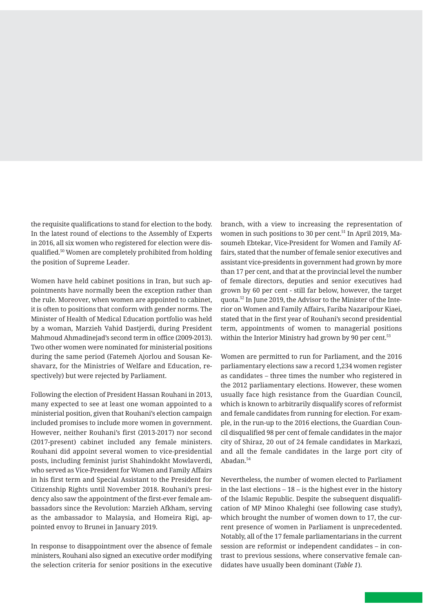the requisite qualifications to stand for election to the body. In the latest round of elections to the Assembly of Experts in 2016, all six women who registered for election were disqualified.50 Women are completely prohibited from holding the position of Supreme Leader.

Women have held cabinet positions in Iran, but such appointments have normally been the exception rather than the rule. Moreover, when women are appointed to cabinet, it is often to positions that conform with gender norms. The Minister of Health of Medical Education portfolio was held by a woman, Marzieh Vahid Dastjerdi, during President Mahmoud Ahmadinejad's second term in office (2009-2013). Two other women were nominated for ministerial positions during the same period (Fatemeh Ajorlou and Sousan Keshavarz, for the Ministries of Welfare and Education, respectively) but were rejected by Parliament.

Following the election of President Hassan Rouhani in 2013, many expected to see at least one woman appointed to a ministerial position, given that Rouhani's election campaign included promises to include more women in government. However, neither Rouhani's first (2013-2017) nor second (2017-present) cabinet included any female ministers. Rouhani did appoint several women to vice-presidential posts, including feminist jurist Shahindokht Mowlaverdi, who served as Vice-President for Women and Family Affairs in his first term and Special Assistant to the President for Citizenship Rights until November 2018. Rouhani's presidency also saw the appointment of the first-ever female ambassadors since the Revolution: Marzieh Afkham, serving as the ambassador to Malaysia, and Homeira Rigi, appointed envoy to Brunei in January 2019.

In response to disappointment over the absence of female ministers, Rouhani also signed an executive order modifying the selection criteria for senior positions in the executive

branch, with a view to increasing the representation of women in such positions to 30 per cent.<sup>51</sup> In April 2019, Masoumeh Ebtekar, Vice-President for Women and Family Affairs, stated that the number of female senior executives and assistant vice-presidents in government had grown by more than 17 per cent, and that at the provincial level the number of female directors, deputies and senior executives had grown by 60 per cent - still far below, however, the target quota.52 In June 2019, the Advisor to the Minister of the Interior on Women and Family Affairs, Fariba Nazaripour Kiaei, stated that in the first year of Rouhani's second presidential term, appointments of women to managerial positions within the Interior Ministry had grown by 90 per cent.<sup>53</sup>

Women are permitted to run for Parliament, and the 2016 parliamentary elections saw a record 1,234 women register as candidates – three times the number who registered in the 2012 parliamentary elections. However, these women usually face high resistance from the Guardian Council, which is known to arbitrarily disqualify scores of reformist and female candidates from running for election. For example, in the run-up to the 2016 elections, the Guardian Council disqualified 98 per cent of female candidates in the major city of Shiraz, 20 out of 24 female candidates in Markazi, and all the female candidates in the large port city of Abadan.54

Nevertheless, the number of women elected to Parliament in the last elections  $-18 -$  is the highest ever in the history of the Islamic Republic. Despite the subsequent disqualification of MP Minoo Khaleghi (see following case study), which brought the number of women down to 17, the current presence of women in Parliament is unprecedented. Notably, all of the 17 female parliamentarians in the current session are reformist or independent candidates – in contrast to previous sessions, where conservative female candidates have usually been dominant (*Table 1*).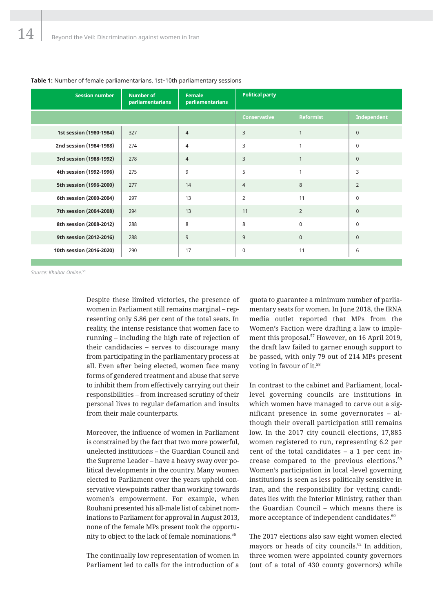| <b>Session number</b>    | <b>Number of</b><br>parliamentarians | <b>Female</b><br>parliamentarians | <b>Political party</b> |                  |                |
|--------------------------|--------------------------------------|-----------------------------------|------------------------|------------------|----------------|
|                          |                                      |                                   | <b>Conservative</b>    | <b>Reformist</b> | Independent    |
| 1st session (1980-1984)  | 327                                  | $\overline{4}$                    | 3                      | $\mathbf{1}$     | $\mathbf{0}$   |
| 2nd session (1984-1988)  | 274                                  | $\overline{4}$                    | 3                      | $\mathbf{1}$     | $\mathbf 0$    |
| 3rd session (1988-1992)  | 278                                  | $\overline{4}$                    | 3                      | $\mathbf{1}$     | $\mathbf{0}$   |
| 4th session (1992-1996)  | 275                                  | 9                                 | 5                      | $\mathbf{1}$     | 3              |
| 5th session (1996-2000)  | 277                                  | 14                                | $\overline{4}$         | $8\phantom{1}$   | $\overline{2}$ |
| 6th session (2000-2004)  | 297                                  | 13                                | $\overline{2}$         | 11               | $\mathbf 0$    |
| 7th session (2004-2008)  | 294                                  | 13                                | 11                     | $\overline{2}$   | $\mathbf{0}$   |
| 8th session (2008-2012)  | 288                                  | 8                                 | 8                      | $\mathbf 0$      | $\Omega$       |
| 9th session (2012-2016)  | 288                                  | 9                                 | 9                      | $\mathbf{0}$     | $\mathbf{0}$   |
| 10th session (2016-2020) | 290                                  | 17                                | $\pmb{0}$              | 11               | 6              |

#### **Table 1:** Number of female parliamentarians, 1st–10th parliamentary sessions

*Source: Khabar Online.55*

Despite these limited victories, the presence of women in Parliament still remains marginal – representing only 5.86 per cent of the total seats. In reality, the intense resistance that women face to running – including the high rate of rejection of their candidacies – serves to discourage many from participating in the parliamentary process at all. Even after being elected, women face many forms of gendered treatment and abuse that serve to inhibit them from effectively carrying out their responsibilities – from increased scrutiny of their personal lives to regular defamation and insults from their male counterparts.

Moreover, the influence of women in Parliament is constrained by the fact that two more powerful, unelected institutions – the Guardian Council and the Supreme Leader – have a heavy sway over political developments in the country. Many women elected to Parliament over the years upheld conservative viewpoints rather than working towards women's empowerment. For example, when Rouhani presented his all-male list of cabinet nominations to Parliament for approval in August 2013, none of the female MPs present took the opportunity to object to the lack of female nominations.<sup>56</sup>

The continually low representation of women in Parliament led to calls for the introduction of a

quota to guarantee a minimum number of parliamentary seats for women. In June 2018, the IRNA media outlet reported that MPs from the Women's Faction were drafting a law to implement this proposal.<sup>57</sup> However, on 16 April 2019, the draft law failed to garner enough support to be passed, with only 79 out of 214 MPs present voting in favour of it.<sup>58</sup>

In contrast to the cabinet and Parliament, locallevel governing councils are institutions in which women have managed to carve out a significant presence in some governorates – although their overall participation still remains low. In the 2017 city council elections, 17,885 women registered to run, representing 6.2 per cent of the total candidates – a 1 per cent increase compared to the previous elections.<sup>59</sup> Women's participation in local -level governing institutions is seen as less politically sensitive in Iran, and the responsibility for vetting candidates lies with the Interior Ministry, rather than the Guardian Council – which means there is more acceptance of independent candidates.<sup>60</sup>

The 2017 elections also saw eight women elected mayors or heads of city councils. $62$  In addition, three women were appointed county governors (out of a total of 430 county governors) while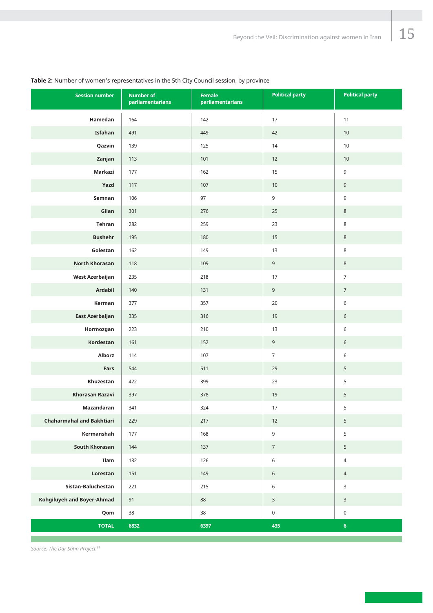#### **Session number Number of parliamentarians Female parliamentarians Political party Hamedan Isfahan Qazvin Zanjan Markazi Yazd Semnan Gilan Tehran Bushehr Golestan North Khorasan West Azerbaijan Ardabil Kerman East Azerbaijan Hormozgan Kordestan Alborz Fars Khuzestan Khorasan Razavi Mazandaran Chaharmahal and Bakhtiari Kermanshah South Khorasan Ilam Lorestan Sistan-Baluchestan Kohgiluyeh and Boyer-Ahmad Qom TOTAL Political party**

#### **Table 2:** Number of women's representatives in the 5th City Council session, by province

*Source: The Dar Sahn Project.61*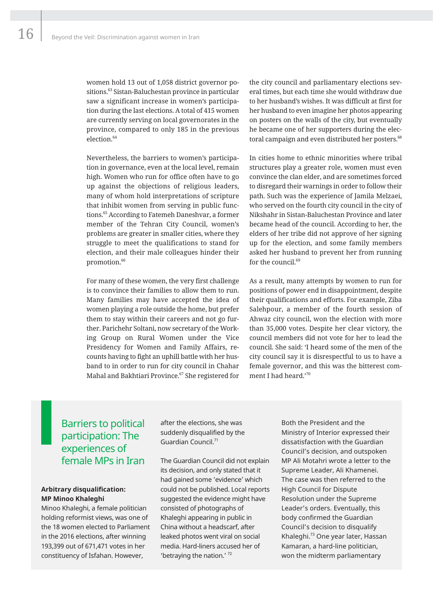women hold 13 out of 1,058 district governor positions.<sup>63</sup> Sistan-Baluchestan province in particular saw a significant increase in women's participation during the last elections. A total of 415 women are currently serving on local governorates in the province, compared to only 185 in the previous election.<sup>64</sup>

Nevertheless, the barriers to women's participation in governance, even at the local level, remain high. Women who run for office often have to go up against the objections of religious leaders, many of whom hold interpretations of scripture that inhibit women from serving in public functions.<sup>65</sup> According to Fatemeh Daneshvar, a former member of the Tehran City Council, women's problems are greater in smaller cities, where they struggle to meet the qualifications to stand for election, and their male colleagues hinder their promotion.<sup>66</sup>

For many of these women, the very first challenge is to convince their families to allow them to run. Many families may have accepted the idea of women playing a role outside the home, but prefer them to stay within their careers and not go further. Parichehr Soltani, now secretary of the Working Group on Rural Women under the Vice Presidency for Women and Family Affairs, recounts having to fight an uphill battle with her husband to in order to run for city council in Chahar Mahal and Bakhtiari Province.<sup>67</sup> She registered for

the city council and parliamentary elections several times, but each time she would withdraw due to her husband's wishes. It was difficult at first for her husband to even imagine her photos appearing on posters on the walls of the city, but eventually he became one of her supporters during the electoral campaign and even distributed her posters.<sup>68</sup>

In cities home to ethnic minorities where tribal structures play a greater role, women must even convince the clan elder, and are sometimes forced to disregard their warnings in order to follow their path. Such was the experience of Jamila Melzaei, who served on the fourth city council in the city of Nikshahr in Sistan-Baluchestan Province and later became head of the council. According to her, the elders of her tribe did not approve of her signing up for the election, and some family members asked her husband to prevent her from running for the council.<sup>69</sup>

As a result, many attempts by women to run for positions of power end in disappointment, despite their qualifications and efforts. For example, Ziba Salehpour, a member of the fourth session of Ahwaz city council, won the election with more than 35,000 votes. Despite her clear victory, the council members did not vote for her to lead the council. She said: 'I heard some of the men of the city council say it is disrespectful to us to have a female governor, and this was the bitterest comment I had heard.'70

### Barriers to political participation: The experiences of female MPs in Iran

#### **Arbitrary disqualification: MP Minoo Khaleghi**

Minoo Khaleghi, a female politician holding reformist views, was one of the 18 women elected to Parliament in the 2016 elections, after winning 193,399 out of 671,471 votes in her constituency of Isfahan. However,

after the elections, she was suddenly disqualified by the Guardian Council.71

The Guardian Council did not explain its decision, and only stated that it had gained some 'evidence' which could not be published. Local reports suggested the evidence might have consisted of photographs of Khaleghi appearing in public in China without a headscarf, after leaked photos went viral on social media. Hard-liners accused her of 'betraying the nation.' 72

Both the President and the Ministry of Interior expressed their dissatisfaction with the Guardian Council's decision, and outspoken MP Ali Motahri wrote a letter to the Supreme Leader, Ali Khamenei. The case was then referred to the High Council for Dispute Resolution under the Supreme Leader's orders. Eventually, this body confirmed the Guardian Council's decision to disqualify Khaleghi.<sup>73</sup> One year later, Hassan Kamaran, a hard-line politician, won the midterm parliamentary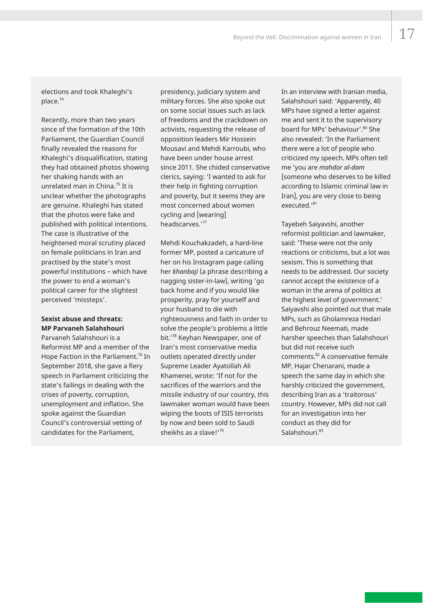elections and took Khaleghi's place.<sup>74</sup>

Recently, more than two years since of the formation of the 10th Parliament, the Guardian Council finally revealed the reasons for Khaleghi's disqualification, stating they had obtained photos showing her shaking hands with an unrelated man in China.<sup>75</sup> It is unclear whether the photographs are genuine. Khaleghi has stated that the photos were fake and published with political intentions. The case is illustrative of the heightened moral scrutiny placed on female politicians in Iran and practised by the state's most powerful institutions – which have the power to end a woman's political career for the slightest perceived 'missteps'.

#### **Sexist abuse and threats: MP Parvaneh Salahshouri**

Parvaneh Salahshouri is a Reformist MP and a member of the Hope Faction in the Parliament.<sup>76</sup> In September 2018, she gave a fiery speech in Parliament criticizing the state's failings in dealing with the crises of poverty, corruption, unemployment and inflation. She spoke against the Guardian Council's controversial vetting of candidates for the Parliament,

presidency, judiciary system and military forces. She also spoke out on some social issues such as lack of freedoms and the crackdown on activists, requesting the release of opposition leaders Mir Hossein Mousavi and Mehdi Karroubi, who have been under house arrest since 2011. She chided conservative clerics, saying: 'I wanted to ask for their help in fighting corruption and poverty, but it seems they are most concerned about women cycling and [wearing] headscarves.'77

Mehdi Kouchakzadeh, a hard-line former MP, posted a caricature of her on his Instagram page calling her *khanbaji* (a phrase describing a nagging sister-in-law), writing 'go back home and if you would like prosperity, pray for yourself and your husband to die with righteousness and faith in order to solve the people's problems a little bit.'78 Keyhan Newspaper, one of Iran's most conservative media outlets operated directly under Supreme Leader Ayatollah Ali Khamenei, wrote: 'If not for the sacrifices of the warriors and the missile industry of our country, this lawmaker woman would have been wiping the boots of ISIS terrorists by now and been sold to Saudi sheikhs as a slave!'79

In an interview with Iranian media, Salahshouri said: 'Apparently, 40 MPs have signed a letter against me and sent it to the supervisory board for MPs' behaviour'.<sup>80</sup> She also revealed: 'In the Parliament there were a lot of people who criticized my speech. MPs often tell me 'you are *mahdor al-dam* [someone who deserves to be killed according to Islamic criminal law in Iran], you are very close to being executed.'81

Tayebeh Saiyavshi, another reformist politician and lawmaker, said: 'These were not the only reactions or criticisms, but a lot was sexism. This is something that needs to be addressed. Our society cannot accept the existence of a woman in the arena of politics at the highest level of government.' Saiyavshi also pointed out that male MPs, such as Gholamreza Hedari and Behrouz Neemati, made harsher speeches than Salahshouri but did not receive such comments.82 A conservative female MP, Hajar Chenarani, made a speech the same day in which she harshly criticized the government, describing Iran as a 'traitorous' country. However, MPs did not call for an investigation into her conduct as they did for Salahshouri.<sup>83</sup>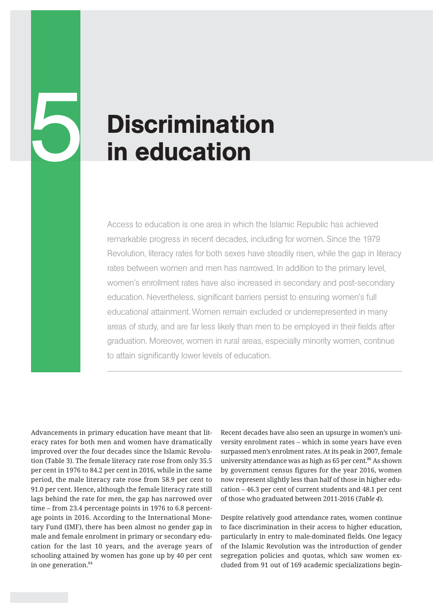# **Discrimination<br>in education**

Access to education is one area in which the Islamic Republic has achieved remarkable progress in recent decades, including for women. Since the 1979 Revolution, literacy rates for both sexes have steadily risen, while the gap in literacy rates between women and men has narrowed. In addition to the primary level, women's enrollment rates have also increased in secondary and post-secondary education. Nevertheless, significant barriers persist to ensuring women's full educational attainment. Women remain excluded or underrepresented in many areas of study, and are far less likely than men to be employed in their fields after graduation. Moreover, women in rural areas, especially minority women, continue to attain significantly lower levels of education.

Advancements in primary education have meant that literacy rates for both men and women have dramatically improved over the four decades since the Islamic Revolution (Table 3). The female literacy rate rose from only 35.5 per cent in 1976 to 84.2 per cent in 2016, while in the same period, the male literacy rate rose from 58.9 per cent to 91.0 per cent. Hence, although the female literacy rate still lags behind the rate for men, the gap has narrowed over time – from 23.4 percentage points in 1976 to 6.8 percentage points in 2016. According to the International Monetary Fund (IMF), there has been almost no gender gap in male and female enrolment in primary or secondary education for the last 10 years, and the average years of schooling attained by women has gone up by 40 per cent in one generation.<sup>84</sup>

Recent decades have also seen an upsurge in women's university enrolment rates – which in some years have even surpassed men's enrolment rates. At its peak in 2007, female university attendance was as high as 65 per cent.<sup>86</sup> As shown by government census figures for the year 2016, women now represent slightly less than half of those in higher education – 46.3 per cent of current students and 48.1 per cent of those who graduated between 2011-2016 (*Table 4*).

Despite relatively good attendance rates, women continue to face discrimination in their access to higher education, particularly in entry to male-dominated fields. One legacy of the Islamic Revolution was the introduction of gender segregation policies and quotas, which saw women excluded from 91 out of 169 academic specializations begin-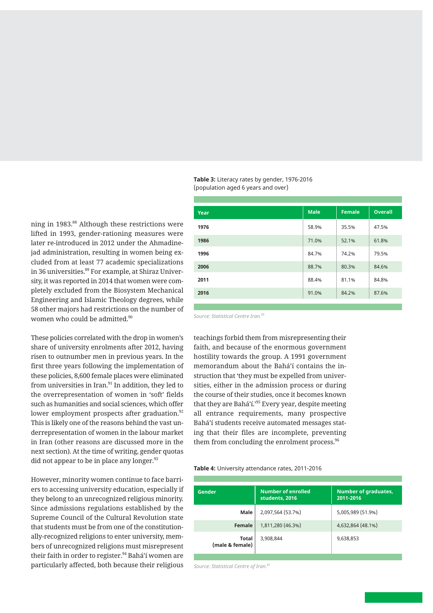ning in 1983.<sup>88</sup> Although these restrictions were lifted in 1993, gender-rationing measures were later re-introduced in 2012 under the Ahmadinejad administration, resulting in women being excluded from at least 77 academic specializations in 36 universities.<sup>89</sup> For example, at Shiraz University, it was reported in 2014 that women were completely excluded from the Biosystem Mechanical Engineering and Islamic Theology degrees, while 58 other majors had restrictions on the number of

These policies correlated with the drop in women's share of university enrolments after 2012, having risen to outnumber men in previous years. In the first three years following the implementation of these policies, 8,600 female places were eliminated from universities in Iran. $91$  In addition, they led to the overrepresentation of women in 'soft' fields such as humanities and social sciences, which offer lower employment prospects after graduation.<sup>92</sup> This is likely one of the reasons behind the vast underrepresentation of women in the labour market in Iran (other reasons are discussed more in the next section). At the time of writing, gender quotas did not appear to be in place any longer.<sup>93</sup>

women who could be admitted.<sup>90</sup>

However, minority women continue to face barriers to accessing university education, especially if they belong to an unrecognized religious minority. Since admissions regulations established by the Supreme Council of the Cultural Revolution state that students must be from one of the constitutionally-recognized religions to enter university, members of unrecognized religions must misrepresent their faith in order to register.<sup>94</sup> Bahá'í women are particularly affected, both because their religious

**Table 3:** Literacy rates by gender, 1976-2016 (population aged 6 years and over)

| Year | <b>Male</b> | <b>Female</b> | <b>Overall</b> |
|------|-------------|---------------|----------------|
| 1976 | 58.9%       | 35.5%         | 47.5%          |
| 1986 | 71.0%       | 52.1%         | 61.8%          |
| 1996 | 84.7%       | 74.2%         | 79.5%          |
| 2006 | 88.7%       | 80.3%         | 84.6%          |
| 2011 | 88.4%       | 81.1%         | 84.8%          |
| 2016 | 91.0%       | 84.2%         | 87.6%          |

*Source: Statistical Centre Iran.85*

teachings forbid them from misrepresenting their faith, and because of the enormous government hostility towards the group. A 1991 government memorandum about the Bahá'í contains the instruction that 'they must be expelled from universities, either in the admission process or during the course of their studies, once it becomes known that they are Bahá'í.'<sup>95</sup> Every year, despite meeting all entrance requirements, many prospective Bahá'í students receive automated messages stating that their files are incomplete, preventing them from concluding the enrolment process.<sup>96</sup>

#### **Table 4:** University attendance rates, 2011-2016

| Gender                   | <b>Number of enrolled</b><br>students, 2016 | <b>Number of graduates,</b><br>2011-2016 |  |
|--------------------------|---------------------------------------------|------------------------------------------|--|
| Male                     | 2,097,564 (53.7%)                           | 5,005,989 (51.9%)                        |  |
| Female                   | 1,811,280 (46.3%)                           | 4,632,864 (48.1%)                        |  |
| Total<br>(male & female) | 3,908,844                                   | 9,638,853                                |  |

*Source: Statistical Centre of Iran.87*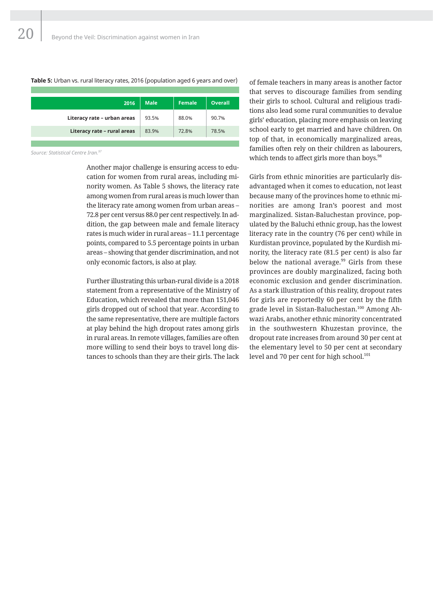#### **Table 5:** Urban vs. rural literacy rates, 2016 (population aged 6 years and over)

| 2016                        | <b>Male</b> | <b>Female</b> | <b>Overall</b> |
|-----------------------------|-------------|---------------|----------------|
| Literacy rate - urban areas | 93.5%       | 88.0%         | 90.7%          |
| Literacy rate - rural areas | 83.9%       | 72.8%         | 78.5%          |
|                             |             |               |                |

*Source: Statistical Centre Iran.97*

Another major challenge is ensuring access to education for women from rural areas, including minority women. As Table 5 shows, the literacy rate among women from rural areas is much lower than the literacy rate among women from urban areas – 72.8 per cent versus 88.0 per cent respectively. In addition, the gap between male and female literacy rates is much wider in rural areas – 11.1 percentage points, compared to 5.5 percentage points in urban areas – showing that gender discrimination, and not only economic factors, is also at play.

Further illustrating this urban-rural divide is a 2018 statement from a representative of the Ministry of Education, which revealed that more than 151,046 girls dropped out of school that year. According to the same representative, there are multiple factors at play behind the high dropout rates among girls in rural areas. In remote villages, families are often more willing to send their boys to travel long distances to schools than they are their girls. The lack of female teachers in many areas is another factor that serves to discourage families from sending their girls to school. Cultural and religious traditions also lead some rural communities to devalue girls' education, placing more emphasis on leaving school early to get married and have children. On top of that, in economically marginalized areas, families often rely on their children as labourers, which tends to affect girls more than boys.<sup>98</sup>

Girls from ethnic minorities are particularly disadvantaged when it comes to education, not least because many of the provinces home to ethnic minorities are among Iran's poorest and most marginalized. Sistan-Baluchestan province, populated by the Baluchi ethnic group, has the lowest literacy rate in the country (76 per cent) while in Kurdistan province, populated by the Kurdish minority, the literacy rate (81.5 per cent) is also far below the national average.<sup>99</sup> Girls from these provinces are doubly marginalized, facing both economic exclusion and gender discrimination. As a stark illustration of this reality, dropout rates for girls are reportedly 60 per cent by the fifth grade level in Sistan-Baluchestan.<sup>100</sup> Among Ahwazi Arabs, another ethnic minority concentrated in the southwestern Khuzestan province, the dropout rate increases from around 30 per cent at the elementary level to 50 per cent at secondary level and 70 per cent for high school.<sup>101</sup>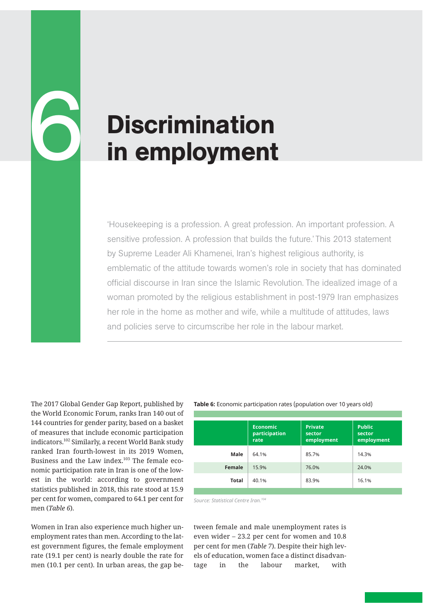# **Discrimination** in employment

'Housekeeping is a profession. A great profession. An important profession. A sensitive profession. A profession that builds the future.' This 2013 statement by Supreme Leader Ali Khamenei, Iran's highest religious authority, is emblematic of the attitude towards women's role in society that has dominated official discourse in Iran since the Islamic Revolution. The idealized image of a woman promoted by the religious establishment in post-1979 Iran emphasizes her role in the home as mother and wife, while a multitude of attitudes, laws and policies serve to circumscribe her role in the labour market.

The 2017 Global Gender Gap Report, published by the World Economic Forum, ranks Iran 140 out of 144 countries for gender parity, based on a basket of measures that include economic participation indicators.102 Similarly, a recent World Bank study ranked Iran fourth-lowest in its 2019 Women, Business and the Law index.<sup>103</sup> The female economic participation rate in Iran is one of the lowest in the world: according to government statistics published in 2018, this rate stood at 15.9 per cent for women, compared to 64.1 per cent for men (*Table 6*).

6

Women in Iran also experience much higher unemployment rates than men. According to the latest government figures, the female employment rate (19.1 per cent) is nearly double the rate for men (10.1 per cent). In urban areas, the gap be-

#### **Table 6:** Economic participation rates (population over 10 years old)

|        | <b>Economic</b><br>participation<br>rate | <b>Private</b><br>sector<br>employment | <b>Public</b><br>sector<br>employment |
|--------|------------------------------------------|----------------------------------------|---------------------------------------|
| Male   | 64.1%                                    | 85.7%                                  | 14.3%                                 |
| Female | 15.9%                                    | 76.0%                                  | 24.0%                                 |
| Total  | 40.1%                                    | 83.9%                                  | 16.1%                                 |

*Source: Statistical Centre Iran.104*

tween female and male unemployment rates is even wider – 23.2 per cent for women and 10.8 per cent for men (*Table 7*). Despite their high levels of education, women face a distinct disadvantage in the labour market, with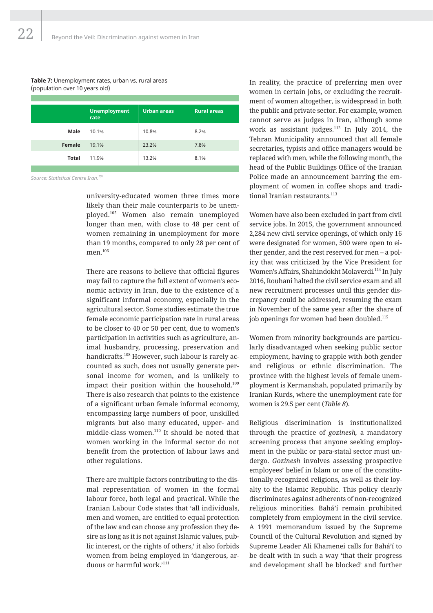#### **Table 7:** Unemployment rates, urban vs. rural areas (population over 10 years old)

|              | <b>Unemployment</b><br>rate | <b>Urban</b> areas | <b>Rural areas</b> |
|--------------|-----------------------------|--------------------|--------------------|
| Male         | 10.1%                       | 10.8%              | 8.2%               |
| Female       | 19.1%                       | 23.2%              | 7.8%               |
| <b>Total</b> | 11.9%                       | 13.2%              | 8.1%               |
|              |                             |                    |                    |

*Source: Statistical Centre Iran.107*

university-educated women three times more likely than their male counterparts to be unemployed.<sup>105</sup> Women also remain unemployed longer than men, with close to 48 per cent of women remaining in unemployment for more than 19 months, compared to only 28 per cent of men.<sup>106</sup>

There are reasons to believe that official figures may fail to capture the full extent of women's economic activity in Iran, due to the existence of a significant informal economy, especially in the agricultural sector. Some studies estimate the true female economic participation rate in rural areas to be closer to 40 or 50 per cent, due to women's participation in activities such as agriculture, animal husbandry, processing, preservation and handicrafts.<sup>108</sup> However, such labour is rarely accounted as such, does not usually generate personal income for women, and is unlikely to impact their position within the household.<sup>109</sup> There is also research that points to the existence of a significant urban female informal economy, encompassing large numbers of poor, unskilled migrants but also many educated, upper- and middle-class women.<sup>110</sup> It should be noted that women working in the informal sector do not benefit from the protection of labour laws and other regulations.

There are multiple factors contributing to the dismal representation of women in the formal labour force, both legal and practical. While the Iranian Labour Code states that 'all individuals, men and women, are entitled to equal protection of the law and can choose any profession they desire as long as it is not against Islamic values, public interest, or the rights of others,' it also forbids women from being employed in 'dangerous, arduous or harmful work.'111

In reality, the practice of preferring men over women in certain jobs, or excluding the recruitment of women altogether, is widespread in both the public and private sector. For example, women cannot serve as judges in Iran, although some work as assistant judges.<sup>112</sup> In July 2014, the Tehran Municipality announced that all female secretaries, typists and office managers would be replaced with men, while the following month, the head of the Public Buildings Office of the Iranian Police made an announcement barring the employment of women in coffee shops and traditional Iranian restaurants.<sup>113</sup>

Women have also been excluded in part from civil service jobs. In 2015, the government announced 2,284 new civil service openings, of which only 16 were designated for women, 500 were open to either gender, and the rest reserved for men – a policy that was criticized by the Vice President for Women's Affairs, Shahindokht Molaverdi.<sup>114</sup> In July 2016, Rouhani halted the civil service exam and all new recruitment processes until this gender discrepancy could be addressed, resuming the exam in November of the same year after the share of job openings for women had been doubled.<sup>115</sup>

Women from minority backgrounds are particularly disadvantaged when seeking public sector employment, having to grapple with both gender and religious or ethnic discrimination. The province with the highest levels of female unemployment is Kermanshah, populated primarily by Iranian Kurds, where the unemployment rate for women is 29.5 per cent (*Table 8*).

Religious discrimination is institutionalized through the practice of *gozinesh,* a mandatory screening process that anyone seeking employment in the public or para-statal sector must undergo. *Gozinesh* involves assessing prospective employees' belief in Islam or one of the constitutionally-recognized religions, as well as their loyalty to the Islamic Republic. This policy clearly discriminates against adherents of non-recognized religious minorities. Bahá'í remain prohibited completely from employment in the civil service. A 1991 memorandum issued by the Supreme Council of the Cultural Revolution and signed by Supreme Leader Ali Khamenei calls for Bahá'í to be dealt with in such a way 'that their progress and development shall be blocked' and further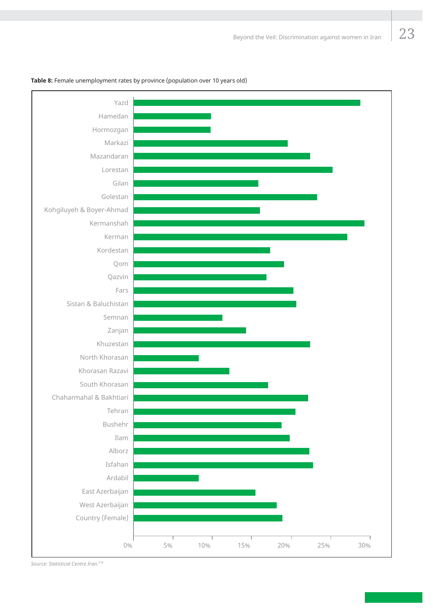#### **Table 8:** Female unemployment rates by province (population over 10 years old)



*Source: Statistical Centre Iran.118*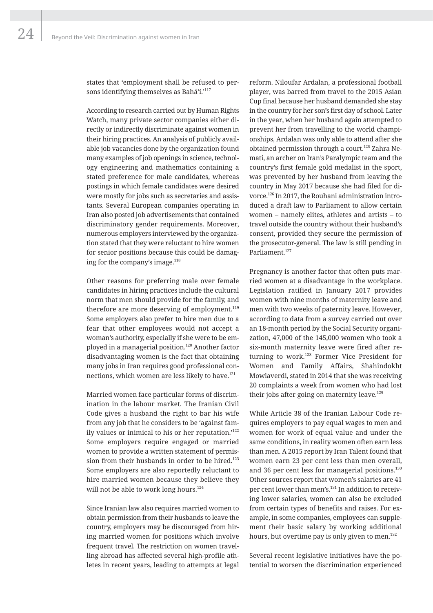states that 'employment shall be refused to persons identifying themselves as Bahá'í.'<sup>117</sup>

According to research carried out by Human Rights Watch, many private sector companies either directly or indirectly discriminate against women in their hiring practices. An analysis of publicly available job vacancies done by the organization found many examples of job openings in science, technology engineering and mathematics containing a stated preference for male candidates, whereas postings in which female candidates were desired were mostly for jobs such as secretaries and assistants. Several European companies operating in Iran also posted job advertisements that contained discriminatory gender requirements. Moreover, numerous employers interviewed by the organization stated that they were reluctant to hire women for senior positions because this could be damaging for the company's image.<sup>118</sup>

Other reasons for preferring male over female candidates in hiring practices include the cultural norm that men should provide for the family, and therefore are more deserving of employment.<sup>119</sup> Some employers also prefer to hire men due to a fear that other employees would not accept a woman's authority, especially if she were to be employed in a managerial position.<sup>120</sup> Another factor disadvantaging women is the fact that obtaining many jobs in Iran requires good professional connections, which women are less likely to have.<sup>121</sup>

Married women face particular forms of discrimination in the labour market. The Iranian Civil Code gives a husband the right to bar his wife from any job that he considers to be 'against family values or inimical to his or her reputation.'<sup>122</sup> Some employers require engaged or married women to provide a written statement of permission from their husbands in order to be hired.<sup>123</sup> Some employers are also reportedly reluctant to hire married women because they believe they will not be able to work long hours.<sup>124</sup>

Since Iranian law also requires married women to obtain permission from their husbands to leave the country, employers may be discouraged from hiring married women for positions which involve frequent travel. The restriction on women travelling abroad has affected several high-profile athletes in recent years, leading to attempts at legal

reform. Niloufar Ardalan, a professional football player, was barred from travel to the 2015 Asian Cup final because her husband demanded she stay in the country for her son's first day of school. Later in the year, when her husband again attempted to prevent her from travelling to the world championships, Ardalan was only able to attend after she obtained permission through a court.125 Zahra Nemati, an archer on Iran's Paralympic team and the country's first female gold medalist in the sport, was prevented by her husband from leaving the country in May 2017 because she had filed for divorce.126 In 2017, the Rouhani administration introduced a draft law to Parliament to allow certain women – namely elites, athletes and artists – to travel outside the country without their husband's consent, provided they secure the permission of the prosecutor-general. The law is still pending in Parliament.<sup>127</sup>

Pregnancy is another factor that often puts married women at a disadvantage in the workplace. Legislation ratified in January 2017 provides women with nine months of maternity leave and men with two weeks of paternity leave. However, according to data from a survey carried out over an 18-month period by the Social Security organization, 47,000 of the 145,000 women who took a six-month maternity leave were fired after returning to work.<sup>128</sup> Former Vice President for Women and Family Affairs, Shahindokht Mowlaverdi, stated in 2014 that she was receiving 20 complaints a week from women who had lost their jobs after going on maternity leave. $129$ 

While Article 38 of the Iranian Labour Code requires employers to pay equal wages to men and women for work of equal value and under the same conditions, in reality women often earn less than men. A 2015 report by Iran Talent found that women earn 23 per cent less than men overall, and 36 per cent less for managerial positions.<sup>130</sup> Other sources report that women's salaries are 41 per cent lower than men's.<sup>131</sup> In addition to receiving lower salaries, women can also be excluded from certain types of benefits and raises. For example, in some companies, employees can supplement their basic salary by working additional hours, but overtime pay is only given to men. $132$ 

Several recent legislative initiatives have the potential to worsen the discrimination experienced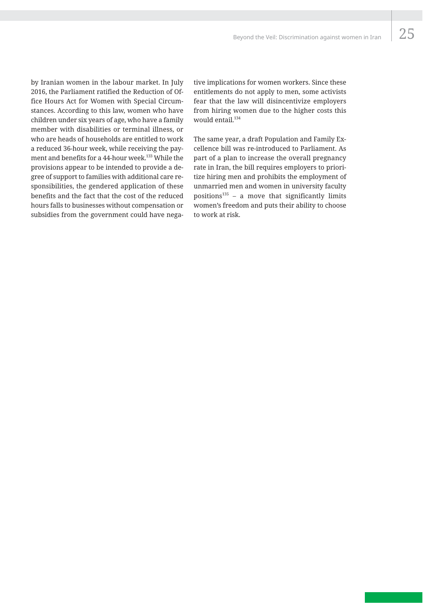25

by Iranian women in the labour market. In July 2016, the Parliament ratified the Reduction of Office Hours Act for Women with Special Circumstances. According to this law, women who have children under six years of age, who have a family member with disabilities or terminal illness, or who are heads of households are entitled to work a reduced 36-hour week, while receiving the payment and benefits for a 44-hour week.<sup>133</sup> While the provisions appear to be intended to provide a degree of support to families with additional care responsibilities, the gendered application of these benefits and the fact that the cost of the reduced hours falls to businesses without compensation or subsidies from the government could have negative implications for women workers. Since these entitlements do not apply to men, some activists fear that the law will disincentivize employers from hiring women due to the higher costs this would entail.<sup>134</sup>

The same year, a draft Population and Family Excellence bill was re-introduced to Parliament. As part of a plan to increase the overall pregnancy rate in Iran, the bill requires employers to prioritize hiring men and prohibits the employment of unmarried men and women in university faculty positions $135$  – a move that significantly limits women's freedom and puts their ability to choose to work at risk.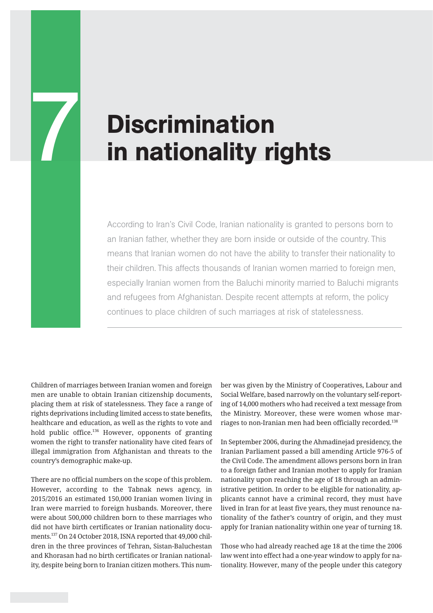# **THE Discrimination<br>The in nationality rights**

According to Iran's Civil Code, Iranian nationality is granted to persons born to an Iranian father, whether they are born inside or outside of the country. This means that Iranian women do not have the ability to transfer their nationality to their children. This affects thousands of Iranian women married to foreign men, especially Iranian women from the Baluchi minority married to Baluchi migrants and refugees from Afghanistan. Despite recent attempts at reform, the policy continues to place children of such marriages at risk of statelessness.

Children of marriages between Iranian women and foreign men are unable to obtain Iranian citizenship documents, placing them at risk of statelessness. They face a range of rights deprivations including limited access to state benefits, healthcare and education, as well as the rights to vote and hold public office.<sup>136</sup> However, opponents of granting women the right to transfer nationality have cited fears of illegal immigration from Afghanistan and threats to the country's demographic make-up.

There are no official numbers on the scope of this problem. However, according to the Tabnak news agency, in 2015/2016 an estimated 150,000 Iranian women living in Iran were married to foreign husbands. Moreover, there were about 500,000 children born to these marriages who did not have birth certificates or Iranian nationality documents.137 On 24 October 2018, ISNA reported that 49,000 children in the three provinces of Tehran, Sistan-Baluchestan and Khorasan had no birth certificates or Iranian nationality, despite being born to Iranian citizen mothers. This number was given by the Ministry of Cooperatives, Labour and Social Welfare, based narrowly on the voluntary self-reporting of 14,000 mothers who had received a text message from the Ministry. Moreover, these were women whose marriages to non-Iranian men had been officially recorded.<sup>138</sup>

In September 2006, during the Ahmadinejad presidency, the Iranian Parliament passed a bill amending Article 976-5 of the Civil Code. The amendment allows persons born in Iran to a foreign father and Iranian mother to apply for Iranian nationality upon reaching the age of 18 through an administrative petition. In order to be eligible for nationality, applicants cannot have a criminal record, they must have lived in Iran for at least five years, they must renounce nationality of the father's country of origin, and they must apply for Iranian nationality within one year of turning 18.

Those who had already reached age 18 at the time the 2006 law went into effect had a one-year window to apply for nationality. However, many of the people under this category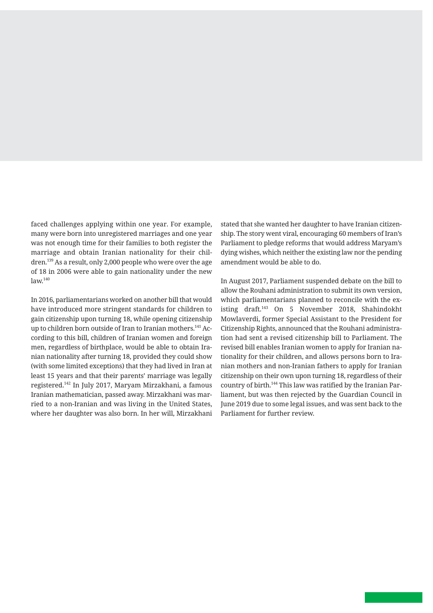faced challenges applying within one year. For example, many were born into unregistered marriages and one year was not enough time for their families to both register the marriage and obtain Iranian nationality for their children.139 As a result, only 2,000 people who were over the age of 18 in 2006 were able to gain nationality under the new  $law<sup>140</sup>$ 

In 2016, parliamentarians worked on another bill that would have introduced more stringent standards for children to gain citizenship upon turning 18, while opening citizenship up to children born outside of Iran to Iranian mothers.<sup>141</sup> According to this bill, children of Iranian women and foreign men, regardless of birthplace, would be able to obtain Iranian nationality after turning 18, provided they could show (with some limited exceptions) that they had lived in Iran at least 15 years and that their parents' marriage was legally registered.<sup>142</sup> In July 2017, Maryam Mirzakhani, a famous Iranian mathematician, passed away. Mirzakhani was married to a non-Iranian and was living in the United States, where her daughter was also born. In her will, Mirzakhani stated that she wanted her daughter to have Iranian citizenship. The story went viral, encouraging 60 members of Iran's Parliament to pledge reforms that would address Maryam's dying wishes, which neither the existing law nor the pending amendment would be able to do.

In August 2017, Parliament suspended debate on the bill to allow the Rouhani administration to submit its own version, which parliamentarians planned to reconcile with the existing draft.<sup>143</sup> On 5 November 2018, Shahindokht Mowlaverdi, former Special Assistant to the President for Citizenship Rights, announced that the Rouhani administration had sent a revised citizenship bill to Parliament. The revised bill enables Iranian women to apply for Iranian nationality for their children, and allows persons born to Iranian mothers and non-Iranian fathers to apply for Iranian citizenship on their own upon turning 18, regardless of their country of birth.<sup>144</sup> This law was ratified by the Iranian Parliament, but was then rejected by the Guardian Council in June 2019 due to some legal issues, and was sent back to the Parliament for further review.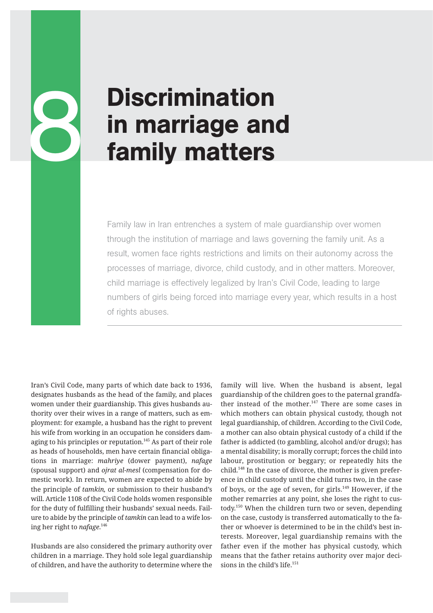# **Discrimination** in marriage and<br>family matters

Family law in Iran entrenches a system of male guardianship over women through the institution of marriage and laws governing the family unit. As a result, women face rights restrictions and limits on their autonomy across the processes of marriage, divorce, child custody, and in other matters. Moreover, child marriage is effectively legalized by Iran's Civil Code, leading to large numbers of girls being forced into marriage every year, which results in a host of rights abuses.

Iran's Civil Code, many parts of which date back to 1936, designates husbands as the head of the family, and places women under their guardianship. This gives husbands authority over their wives in a range of matters, such as employment: for example, a husband has the right to prevent his wife from working in an occupation he considers damaging to his principles or reputation.<sup>145</sup> As part of their role as heads of households, men have certain financial obligations in marriage: *mahriye* (dower payment), *nafage* (spousal support) and *ojrat al-mesl* (compensation for domestic work). In return, women are expected to abide by the principle of *tamkin,* or submission to their husband's will. Article 1108 of the Civil Code holds women responsible for the duty of fulfilling their husbands' sexual needs. Failure to abide by the principle of *tamkin* can lead to a wife losing her right to *nafage*. 146

Husbands are also considered the primary authority over children in a marriage. They hold sole legal guardianship of children, and have the authority to determine where the

family will live. When the husband is absent, legal guardianship of the children goes to the paternal grandfather instead of the mother.<sup>147</sup> There are some cases in which mothers can obtain physical custody, though not legal guardianship, of children. According to the Civil Code, a mother can also obtain physical custody of a child if the father is addicted (to gambling, alcohol and/or drugs); has a mental disability; is morally corrupt; forces the child into labour, prostitution or beggary; or repeatedly hits the child.<sup>148</sup> In the case of divorce, the mother is given preference in child custody until the child turns two, in the case of boys, or the age of seven, for girls.<sup>149</sup> However, if the mother remarries at any point, she loses the right to custody.<sup>150</sup> When the children turn two or seven, depending on the case, custody is transferred automatically to the father or whoever is determined to be in the child's best interests. Moreover, legal guardianship remains with the father even if the mother has physical custody, which means that the father retains authority over major decisions in the child's life.<sup>151</sup>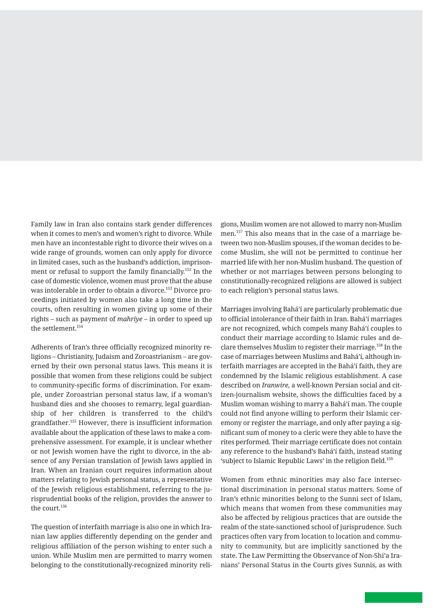Family law in Iran also contains stark gender differences when it comes to men's and women's right to divorce. While men have an incontestable right to divorce their wives on a wide range of grounds, women can only apply for divorce in limited cases, such as the husband's addiction, imprisonment or refusal to support the family financially.152 In the case of domestic violence, women must prove that the abuse was intolerable in order to obtain a divorce.153 Divorce proceedings initiated by women also take a long time in the courts, often resulting in women giving up some of their rights – such as payment of *mahriye* – in order to speed up the settlement.<sup>154</sup>

Adherents of Iran's three officially recognized minority religions – Christianity, Judaism and Zoroastrianism – are governed by their own personal status laws. This means it is possible that women from these religions could be subject to community-specific forms of discrimination. For example, under Zoroastrian personal status law, if a woman's husband dies and she chooses to remarry, legal guardianship of her children is transferred to the child's grandfather.<sup>155</sup> However, there is insufficient information available about the application of these laws to make a comprehensive assessment. For example, it is unclear whether or not Jewish women have the right to divorce, in the absence of any Persian translation of Jewish laws applied in Iran. When an Iranian court requires information about matters relating to Jewish personal status, a representative of the Jewish religious establishment, referring to the jurisprudential books of the religion, provides the answer to the court.<sup>156</sup>

The question of interfaith marriage is also one in which Iranian law applies differently depending on the gender and religious affiliation of the person wishing to enter such a union. While Muslim men are permitted to marry women belonging to the constitutionally-recognized minority religions, Muslim women are not allowed to marry non-Muslim men.157 This also means that in the case of a marriage between two non-Muslim spouses, if the woman decides to become Muslim, she will not be permitted to continue her married life with her non-Muslim husband. The question of whether or not marriages between persons belonging to constitutionally-recognized religions are allowed is subject to each religion's personal status laws.

Marriages involving Bahá'í are particularly problematic due to official intolerance of their faith in Iran. Bahá'í marriages are not recognized, which compels many Bahá'í couples to conduct their marriage according to Islamic rules and declare themselves Muslim to register their marriage.158 In the case of marriages between Muslims and Bahá'í, although interfaith marriages are accepted in the Bahá'í faith, they are condemned by the Islamic religious establishment. A case described on *Iranwire,* a well-known Persian social and citizen-journalism website, shows the difficulties faced by a Muslim woman wishing to marry a Bahá'í man. The couple could not find anyone willing to perform their Islamic ceremony or register the marriage, and only after paying a significant sum of money to a cleric were they able to have the rites performed. Their marriage certificate does not contain any reference to the husband's Bahá'í faith, instead stating 'subject to Islamic Republic Laws' in the religion field.<sup>159</sup>

Women from ethnic minorities may also face intersectional discrimination in personal status matters. Some of Iran's ethnic minorities belong to the Sunni sect of Islam, which means that women from these communities may also be affected by religious practices that are outside the realm of the state-sanctioned school of jurisprudence. Such practices often vary from location to location and community to community, but are implicitly sanctioned by the state. The Law Permitting the Observance of Non-Shi'a Iranians' Personal Status in the Courts gives Sunnis, as with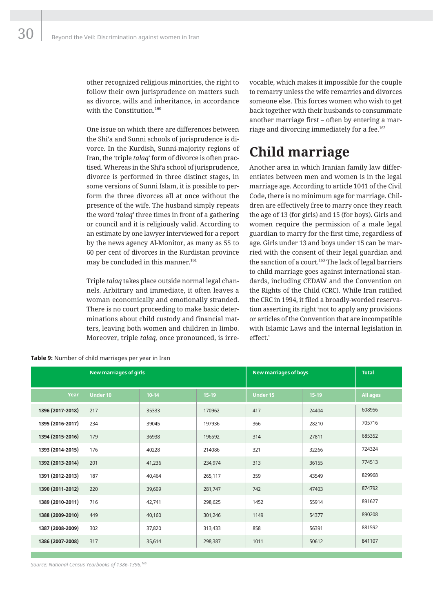other recognized religious minorities, the right to follow their own jurisprudence on matters such as divorce, wills and inheritance, in accordance with the Constitution.<sup>160</sup>

One issue on which there are differences between the Shi'a and Sunni schools of jurisprudence is divorce. In the Kurdish, Sunni-majority regions of Iran, the 'triple *talaq*' form of divorce is often practised. Whereas in the Shi'a school of jurisprudence, divorce is performed in three distinct stages, in some versions of Sunni Islam, it is possible to perform the three divorces all at once without the presence of the wife. The husband simply repeats the word '*talaq*' three times in front of a gathering or council and it is religiously valid. According to an estimate by one lawyer interviewed for a report by the news agency Al-Monitor, as many as 55 to 60 per cent of divorces in the Kurdistan province may be concluded in this manner.<sup>161</sup>

Triple *talaq* takes place outside normal legal channels. Arbitrary and immediate, it often leaves a woman economically and emotionally stranded. There is no court proceeding to make basic determinations about child custody and financial matters, leaving both women and children in limbo. Moreover, triple *talaq,* once pronounced, is irrevocable, which makes it impossible for the couple to remarry unless the wife remarries and divorces someone else. This forces women who wish to get back together with their husbands to consummate another marriage first – often by entering a marriage and divorcing immediately for a fee.<sup>162</sup>

## **Child marriage**

Another area in which Iranian family law differentiates between men and women is in the legal marriage age. According to article 1041 of the Civil Code, there is no minimum age for marriage. Children are effectively free to marry once they reach the age of 13 (for girls) and 15 (for boys). Girls and women require the permission of a male legal guardian to marry for the first time, regardless of age. Girls under 13 and boys under 15 can be married with the consent of their legal guardian and the sanction of a court.<sup>163</sup> The lack of legal barriers to child marriage goes against international standards, including CEDAW and the Convention on the Rights of the Child (CRC). While Iran ratified the CRC in 1994, it filed a broadly-worded reservation asserting its right 'not to apply any provisions or articles of the Convention that are incompatible with Islamic Laws and the internal legislation in effect.'

|                  | <b>New marriages of girls</b> |           |         | <b>New marriages of boys</b> |         | <b>Total</b>    |
|------------------|-------------------------------|-----------|---------|------------------------------|---------|-----------------|
| Year             | <b>Under 10</b>               | $10 - 14$ | $15-19$ | <b>Under 15</b>              | $15-19$ | <b>All ages</b> |
| 1396 (2017-2018) | 217                           | 35333     | 170962  | 417                          | 24404   | 608956          |
| 1395 (2016-2017) | 234                           | 39045     | 197936  | 366                          | 28210   | 705716          |
| 1394 (2015-2016) | 179                           | 36938     | 196592  | 314                          | 27811   | 685352          |
| 1393 (2014-2015) | 176                           | 40228     | 214086  | 321                          | 32266   | 724324          |
| 1392 (2013-2014) | 201                           | 41,236    | 234,974 | 313                          | 36155   | 774513          |
| 1391 (2012-2013) | 187                           | 40,464    | 265,117 | 359                          | 43549   | 829968          |
| 1390 (2011-2012) | 220                           | 39,609    | 281,747 | 742                          | 47403   | 874792          |
| 1389 (2010-2011) | 716                           | 42,741    | 298,625 | 1452                         | 55914   | 891627          |
| 1388 (2009-2010) | 449                           | 40,160    | 301,246 | 1149                         | 54377   | 890208          |
| 1387 (2008-2009) | 302                           | 37,820    | 313,433 | 858                          | 56391   | 881592          |
| 1386 (2007-2008) | 317                           | 35,614    | 298,387 | 1011                         | 50612   | 841107          |

**Table 9:** Number of child marriages per year in Iran

*Source: National Census Yearbooks of 1386-1396.165*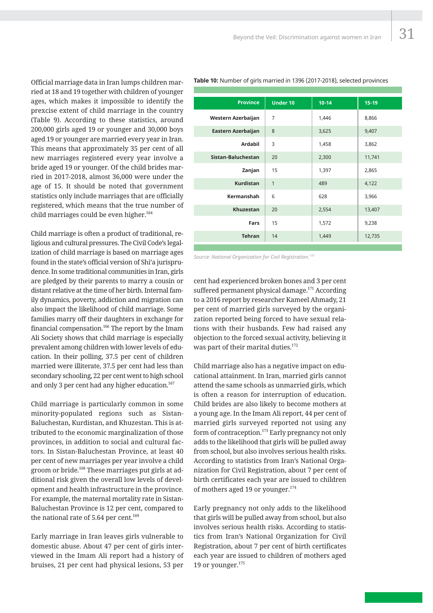Official marriage data in Iran lumps children married at 18 and 19 together with children of younger ages, which makes it impossible to identify the prexcise extent of child marriage in the country (Table 9). According to these statistics, around 200,000 girls aged 19 or younger and 30,000 boys aged 19 or younger are married every year in Iran. This means that approximately 35 per cent of all new marriages registered every year involve a bride aged 19 or younger. Of the child brides married in 2017-2018, almost 36,000 were under the age of 15. It should be noted that government statistics only include marriages that are officially registered, which means that the true number of child marriages could be even higher. $164$ 

Child marriage is often a product of traditional, religious and cultural pressures. The Civil Code's legalization of child marriage is based on marriage ages found in the state's official version of Shi'a jurisprudence. In some traditional communities in Iran, girls are pledged by their parents to marry a cousin or distant relative at the time of her birth. Internal family dynamics, poverty, addiction and migration can also impact the likelihood of child marriage. Some families marry off their daughters in exchange for financial compensation.<sup>166</sup> The report by the Imam Ali Society shows that child marriage is especially prevalent among children with lower levels of education. In their polling, 37.5 per cent of children married were illiterate, 37.5 per cent had less than secondary schooling, 22 per cent went to high school and only 3 per cent had any higher education.<sup>167</sup>

Child marriage is particularly common in some minority-populated regions such as Sistan-Baluchestan, Kurdistan, and Khuzestan. This is attributed to the economic marginalization of those provinces, in addition to social and cultural factors. In Sistan-Baluchestan Province, at least 40 per cent of new marriages per year involve a child groom or bride.168 These marriages put girls at additional risk given the overall low levels of development and health infrastructure in the province. For example, the maternal mortality rate in Sistan-Baluchestan Province is 12 per cent, compared to the national rate of 5.64 per cent.<sup>169</sup>

Early marriage in Iran leaves girls vulnerable to domestic abuse. About 47 per cent of girls interviewed in the Imam Ali report had a history of bruises, 21 per cent had physical lesions, 53 per

| <b>Province</b>    | <b>Under 10</b> | $10 - 14$ | $15 - 19$ |
|--------------------|-----------------|-----------|-----------|
| Western Azerbaijan | $\overline{7}$  | 1,446     | 8,866     |
| Eastern Azerbaijan | 8               | 3,625     | 9,407     |
| Ardabil            | 3               | 1,458     | 3,862     |
| Sistan-Baluchestan | 20              | 2,300     | 11,741    |
| Zanjan             | 15              | 1,397     | 2,865     |
| <b>Kurdistan</b>   | 1               | 489       | 4,122     |
| Kermanshah         | 6               | 628       | 3,966     |
| <b>Khuzestan</b>   | 20              | 2,554     | 13,407    |
| Fars               | 15              | 1,572     | 9,238     |
| <b>Tehran</b>      | 14              | 1,449     | 12,735    |

**Table 10:** Number of girls married in 1396 (2017-2018), selected provinces

*Source: National Organization for Civil Registration.170*

cent had experienced broken bones and 3 per cent suffered permanent physical damage.<sup>171</sup> According to a 2016 report by researcher Kameel Ahmady, 21 per cent of married girls surveyed by the organization reported being forced to have sexual relations with their husbands. Few had raised any objection to the forced sexual activity, believing it was part of their marital duties.<sup>172</sup>

Child marriage also has a negative impact on educational attainment. In Iran, married girls cannot attend the same schools as unmarried girls, which is often a reason for interruption of education. Child brides are also likely to become mothers at a young age. In the Imam Ali report, 44 per cent of married girls surveyed reported not using any form of contraception.<sup>173</sup> Early pregnancy not only adds to the likelihood that girls will be pulled away from school, but also involves serious health risks. According to statistics from Iran's National Organization for Civil Registration, about 7 per cent of birth certificates each year are issued to children of mothers aged 19 or younger.<sup>174</sup>

Early pregnancy not only adds to the likelihood that girls will be pulled away from school, but also involves serious health risks. According to statistics from Iran's National Organization for Civil Registration, about 7 per cent of birth certificates each year are issued to children of mothers aged 19 or younger.<sup>175</sup>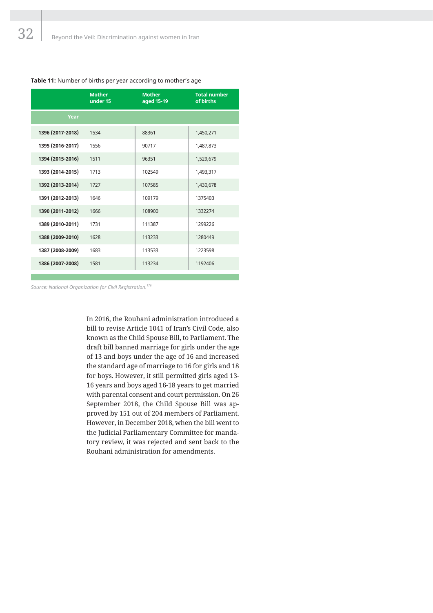|  |  | Table 11: Number of births per year according to mother's age |
|--|--|---------------------------------------------------------------|
|  |  |                                                               |

|                  | <b>Mother</b><br>under 15 | <b>Mother</b><br>aged 15-19 | <b>Total number</b><br>of births |
|------------------|---------------------------|-----------------------------|----------------------------------|
| Year             |                           |                             |                                  |
| 1396 (2017-2018) | 1534                      | 88361                       | 1,450,271                        |
| 1395 (2016-2017) | 1556                      | 90717                       | 1,487,873                        |
| 1394 (2015-2016) | 1511                      | 96351                       | 1,529,679                        |
| 1393 (2014-2015) | 1713                      | 102549                      | 1,493,317                        |
| 1392 (2013-2014) | 1727                      | 107585                      | 1,430,678                        |
| 1391 (2012-2013) | 1646                      | 109179                      | 1375403                          |
| 1390 (2011-2012) | 1666                      | 108900                      | 1332274                          |
| 1389 (2010-2011) | 1731                      | 111387                      | 1299226                          |
| 1388 (2009-2010) | 1628                      | 113233                      | 1280449                          |
| 1387 (2008-2009) | 1683                      | 113533                      | 1223598                          |
| 1386 (2007-2008) | 1581                      | 113234                      | 1192406                          |

*Source: National Organization for Civil Registration.176*

In 2016, the Rouhani administration introduced a bill to revise Article 1041 of Iran's Civil Code, also known as the Child Spouse Bill, to Parliament. The draft bill banned marriage for girls under the age of 13 and boys under the age of 16 and increased the standard age of marriage to 16 for girls and 18 for boys. However, it still permitted girls aged 13- 16 years and boys aged 16-18 years to get married with parental consent and court permission. On 26 September 2018, the Child Spouse Bill was approved by 151 out of 204 members of Parliament. However, in December 2018, when the bill went to the Judicial Parliamentary Committee for mandatory review, it was rejected and sent back to the Rouhani administration for amendments.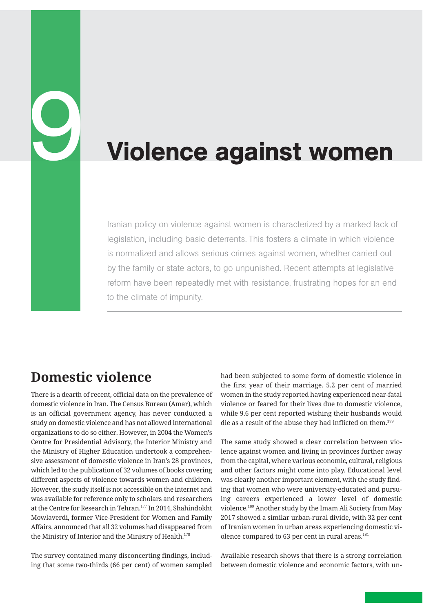# Violence against women

Iranian policy on violence against women is characterized by a marked lack of legislation, including basic deterrents. This fosters a climate in which violence is normalized and allows serious crimes against women, whether carried out by the family or state actors, to go unpunished. Recent attempts at legislative reform have been repeatedly met with resistance, frustrating hopes for an end to the climate of impunity.

## **Domestic violence**

9

There is a dearth of recent, official data on the prevalence of domestic violence in Iran. The Census Bureau (Amar), which is an official government agency, has never conducted a study on domestic violence and has not allowed international organizations to do so either. However, in 2004 the Women's Centre for Presidential Advisory, the Interior Ministry and the Ministry of Higher Education undertook a comprehensive assessment of domestic violence in Iran's 28 provinces, which led to the publication of 32 volumes of books covering different aspects of violence towards women and children. However, the study itself is not accessible on the internet and was available for reference only to scholars and researchers at the Centre for Research in Tehran.177 In 2014, Shahindokht Mowlaverdi, former Vice-President for Women and Family Affairs, announced that all 32 volumes had disappeared from the Ministry of Interior and the Ministry of Health.<sup>178</sup>

The survey contained many disconcerting findings, including that some two-thirds (66 per cent) of women sampled had been subjected to some form of domestic violence in the first year of their marriage. 5.2 per cent of married women in the study reported having experienced near-fatal violence or feared for their lives due to domestic violence, while 9.6 per cent reported wishing their husbands would die as a result of the abuse they had inflicted on them.<sup>179</sup>

The same study showed a clear correlation between violence against women and living in provinces further away from the capital, where various economic, cultural, religious and other factors might come into play. Educational level was clearly another important element, with the study finding that women who were university-educated and pursuing careers experienced a lower level of domestic violence.180 Another study by the Imam Ali Society from May 2017 showed a similar urban-rural divide, with 32 per cent of Iranian women in urban areas experiencing domestic violence compared to 63 per cent in rural areas.<sup>181</sup>

Available research shows that there is a strong correlation between domestic violence and economic factors, with un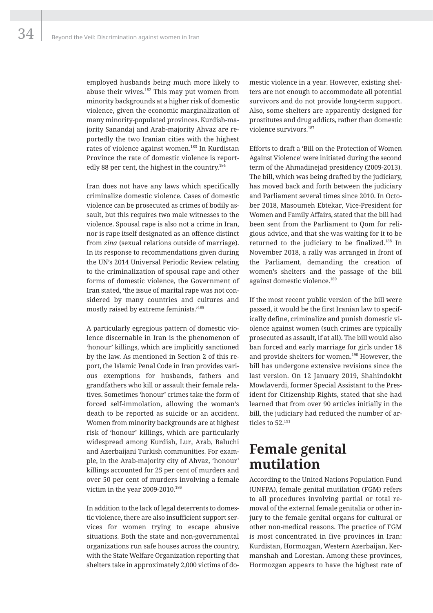34

employed husbands being much more likely to abuse their wives.<sup>182</sup> This may put women from minority backgrounds at a higher risk of domestic violence, given the economic marginalization of many minority-populated provinces. Kurdish-majority Sanandaj and Arab-majority Ahvaz are reportedly the two Iranian cities with the highest rates of violence against women.<sup>183</sup> In Kurdistan Province the rate of domestic violence is reportedly 88 per cent, the highest in the country.<sup>184</sup>

Iran does not have any laws which specifically criminalize domestic violence. Cases of domestic violence can be prosecuted as crimes of bodily assault, but this requires two male witnesses to the violence. Spousal rape is also not a crime in Iran, nor is rape itself designated as an offence distinct from *zina* (sexual relations outside of marriage). In its response to recommendations given during the UN's 2014 Universal Periodic Review relating to the criminalization of spousal rape and other forms of domestic violence, the Government of Iran stated, 'the issue of marital rape was not considered by many countries and cultures and mostly raised by extreme feminists.'185

A particularly egregious pattern of domestic violence discernable in Iran is the phenomenon of 'honour' killings, which are implicitly sanctioned by the law. As mentioned in Section 2 of this report, the Islamic Penal Code in Iran provides various exemptions for husbands, fathers and grandfathers who kill or assault their female relatives. Sometimes 'honour' crimes take the form of forced self-immolation, allowing the woman's death to be reported as suicide or an accident. Women from minority backgrounds are at highest risk of 'honour' killings, which are particularly widespread among Kurdish, Lur, Arab, Baluchi and Azerbaijani Turkish communities. For example, in the Arab-majority city of Ahvaz, 'honour' killings accounted for 25 per cent of murders and over 50 per cent of murders involving a female victim in the year 2009-2010.<sup>186</sup>

In addition to the lack of legal deterrents to domestic violence, there are also insufficient support services for women trying to escape abusive situations. Both the state and non-governmental organizations run safe houses across the country, with the State Welfare Organization reporting that shelters take in approximately 2,000 victims of do-

mestic violence in a year. However, existing shelters are not enough to accommodate all potential survivors and do not provide long-term support. Also, some shelters are apparently designed for prostitutes and drug addicts, rather than domestic violence survivors.187

Efforts to draft a 'Bill on the Protection of Women Against Violence' were initiated during the second term of the Ahmadinejad presidency (2009-2013). The bill, which was being drafted by the judiciary, has moved back and forth between the judiciary and Parliament several times since 2010. In October 2018, Masoumeh Ebtekar, Vice-President for Women and Family Affairs, stated that the bill had been sent from the Parliament to Qom for religious advice, and that she was waiting for it to be returned to the judiciary to be finalized.<sup>188</sup> In November 2018, a rally was arranged in front of the Parliament, demanding the creation of women's shelters and the passage of the bill against domestic violence.<sup>189</sup>

If the most recent public version of the bill were passed, it would be the first Iranian law to specifically define, criminalize and punish domestic violence against women (such crimes are typically prosecuted as assault, if at all). The bill would also ban forced and early marriage for girls under 18 and provide shelters for women.<sup>190</sup> However, the bill has undergone extensive revisions since the last version. On 12 January 2019, Shahindokht Mowlaverdi, former Special Assistant to the President for Citizenship Rights, stated that she had learned that from over 90 articles initially in the bill, the judiciary had reduced the number of articles to 52.<sup>191</sup>

## **Female genital mutilation**

According to the United Nations Population Fund (UNFPA), female genital mutilation (FGM) refers to all procedures involving partial or total removal of the external female genitalia or other injury to the female genital organs for cultural or other non-medical reasons. The practice of FGM is most concentrated in five provinces in Iran: Kurdistan, Hormozgan, Western Azerbaijan, Kermanshah and Lorestan. Among these provinces, Hormozgan appears to have the highest rate of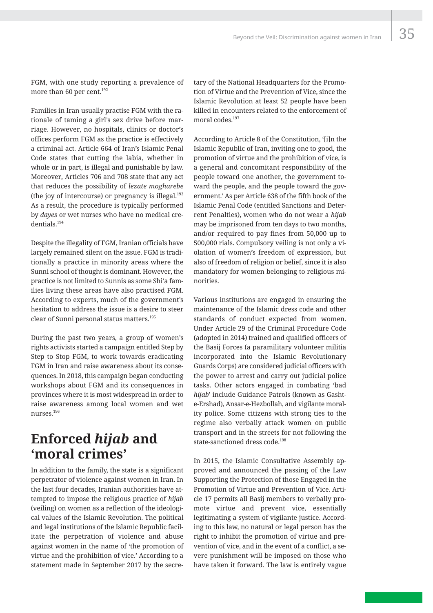FGM, with one study reporting a prevalence of more than 60 per cent.<sup>192</sup>

Families in Iran usually practise FGM with the rationale of taming a girl's sex drive before marriage. However, no hospitals, clinics or doctor's offices perform FGM as the practice is effectively a criminal act. Article 664 of Iran's Islamic Penal Code states that cutting the labia, whether in whole or in part, is illegal and punishable by law. Moreover, Articles 706 and 708 state that any act that reduces the possibility of *lezate mogharebe* (the joy of intercourse) or pregnancy is illegal. $193$ As a result, the procedure is typically performed by *dayes* or wet nurses who have no medical credentials.194

Despite the illegality of FGM, Iranian officials have largely remained silent on the issue. FGM is traditionally a practice in minority areas where the Sunni school of thought is dominant. However, the practice is not limited to Sunnis as some Shi'a families living these areas have also practised FGM. According to experts, much of the government's hesitation to address the issue is a desire to steer clear of Sunni personal status matters.<sup>195</sup>

During the past two years, a group of women's rights activists started a campaign entitled Step by Step to Stop FGM, to work towards eradicating FGM in Iran and raise awareness about its consequences. In 2018, this campaign began conducting workshops about FGM and its consequences in provinces where it is most widespread in order to raise awareness among local women and wet nurses.196

## **Enforced** *hijab* **and 'moral crimes'**

In addition to the family, the state is a significant perpetrator of violence against women in Iran. In the last four decades, Iranian authorities have attempted to impose the religious practice of *hijab* (veiling) on women as a reflection of the ideological values of the Islamic Revolution. The political and legal institutions of the Islamic Republic facilitate the perpetration of violence and abuse against women in the name of 'the promotion of virtue and the prohibition of vice.' According to a statement made in September 2017 by the secretary of the National Headquarters for the Promotion of Virtue and the Prevention of Vice, since the Islamic Revolution at least 52 people have been killed in encounters related to the enforcement of moral codes<sup>197</sup>

According to Article 8 of the Constitution, '[i]n the Islamic Republic of Iran, inviting one to good, the promotion of virtue and the prohibition of vice, is a general and concomitant responsibility of the people toward one another, the government toward the people, and the people toward the government.' As per Article 638 of the fifth book of the Islamic Penal Code (entitled Sanctions and Deterrent Penalties), women who do not wear a *hijab* may be imprisoned from ten days to two months, and/or required to pay fines from 50,000 up to 500,000 rials. Compulsory veiling is not only a violation of women's freedom of expression, but also of freedom of religion or belief, since it is also mandatory for women belonging to religious minorities.

Various institutions are engaged in ensuring the maintenance of the Islamic dress code and other standards of conduct expected from women. Under Article 29 of the Criminal Procedure Code (adopted in 2014) trained and qualified officers of the Basij Forces (a paramilitary volunteer militia incorporated into the Islamic Revolutionary Guards Corps) are considered judicial officers with the power to arrest and carry out judicial police tasks. Other actors engaged in combating 'bad *hijab*' include Guidance Patrols (known as Gashte-Ershad), Ansar-e-Hezbollah, and vigilante morality police. Some citizens with strong ties to the regime also verbally attack women on public transport and in the streets for not following the state-sanctioned dress code.<sup>198</sup>

In 2015, the Islamic Consultative Assembly approved and announced the passing of the Law Supporting the Protection of those Engaged in the Promotion of Virtue and Prevention of Vice. Article 17 permits all Basij members to verbally promote virtue and prevent vice, essentially legitimating a system of vigilante justice. According to this law, no natural or legal person has the right to inhibit the promotion of virtue and prevention of vice, and in the event of a conflict, a severe punishment will be imposed on those who have taken it forward. The law is entirely vague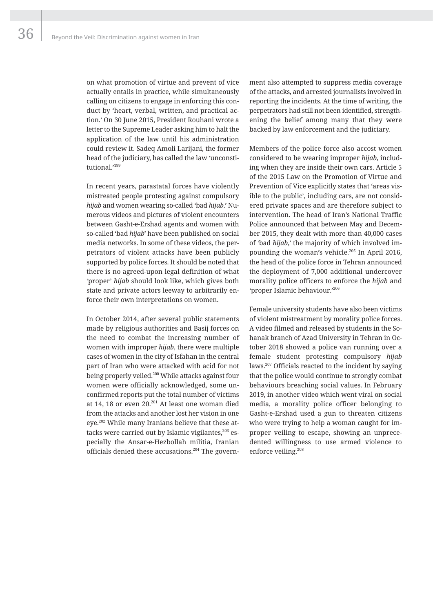on what promotion of virtue and prevent of vice actually entails in practice, while simultaneously calling on citizens to engage in enforcing this conduct by 'heart, verbal, written, and practical action.' On 30 June 2015, President Rouhani wrote a letter to the Supreme Leader asking him to halt the application of the law until his administration could review it. Sadeq Amoli Larijani, the former head of the judiciary, has called the law 'unconstitutional.'199

In recent years, parastatal forces have violently mistreated people protesting against compulsory *hijab* and women wearing so-called 'bad *hijab*.' Numerous videos and pictures of violent encounters between Gasht-e-Ershad agents and women with so-called 'bad *hijab*' have been published on social media networks. In some of these videos, the perpetrators of violent attacks have been publicly supported by police forces. It should be noted that there is no agreed-upon legal definition of what 'proper' *hijab* should look like, which gives both state and private actors leeway to arbitrarily enforce their own interpretations on women.

In October 2014, after several public statements made by religious authorities and Basij forces on the need to combat the increasing number of women with improper *hijab*, there were multiple cases of women in the city of Isfahan in the central part of Iran who were attacked with acid for not being properly veiled.<sup>200</sup> While attacks against four women were officially acknowledged, some unconfirmed reports put the total number of victims at 14, 18 or even 20.<sup>201</sup> At least one woman died from the attacks and another lost her vision in one eye.<sup>202</sup> While many Iranians believe that these attacks were carried out by Islamic vigilantes, $203$  especially the Ansar-e-Hezbollah militia, Iranian officials denied these accusations.<sup>204</sup> The govern-

ment also attempted to suppress media coverage of the attacks, and arrested journalists involved in reporting the incidents. At the time of writing, the perpetrators had still not been identified, strengthening the belief among many that they were backed by law enforcement and the judiciary.

Members of the police force also accost women considered to be wearing improper *hijab*, including when they are inside their own cars. Article 5 of the 2015 Law on the Promotion of Virtue and Prevention of Vice explicitly states that 'areas visible to the public', including cars, are not considered private spaces and are therefore subject to intervention. The head of Iran's National Traffic Police announced that between May and December 2015, they dealt with more than 40,000 cases of 'bad *hijab*,' the majority of which involved impounding the woman's vehicle.<sup>205</sup> In April 2016, the head of the police force in Tehran announced the deployment of 7,000 additional undercover morality police officers to enforce the *hijab* and 'proper Islamic behaviour.'206

Female university students have also been victims of violent mistreatment by morality police forces. A video filmed and released by students in the Sohanak branch of Azad University in Tehran in October 2018 showed a police van running over a female student protesting compulsory *hijab* laws.207 Officials reacted to the incident by saying that the police would continue to strongly combat behaviours breaching social values. In February 2019, in another video which went viral on social media, a morality police officer belonging to Gasht-e-Ershad used a gun to threaten citizens who were trying to help a woman caught for improper veiling to escape, showing an unprecedented willingness to use armed violence to enforce veiling.208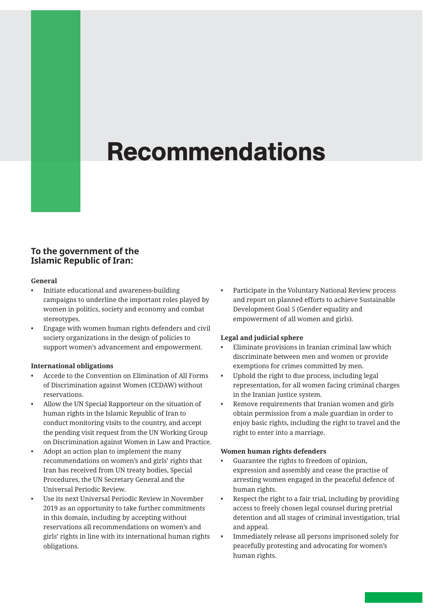# Recommendations

#### **To the government of the Islamic Republic of Iran:**

#### **General**

- Initiate educational and awareness-building campaigns to underline the important roles played by women in politics, society and economy and combat stereotypes.
- Engage with women human rights defenders and civil society organizations in the design of policies to support women's advancement and empowerment.

#### **International obligations**

- Accede to the Convention on Elimination of All Forms of Discrimination against Women (CEDAW) without reservations.
- Allow the UN Special Rapporteur on the situation of human rights in the Islamic Republic of Iran to conduct monitoring visits to the country, and accept the pending visit request from the UN Working Group on Discrimination against Women in Law and Practice.
- Adopt an action plan to implement the many recommendations on women's and girls' rights that Iran has received from UN treaty bodies, Special Procedures, the UN Secretary General and the Universal Periodic Review.
- Use its next Universal Periodic Review in November 2019 as an opportunity to take further commitments in this domain, including by accepting without reservations all recommendations on women's and girls' rights in line with its international human rights obligations.

• Participate in the Voluntary National Review process and report on planned efforts to achieve Sustainable Development Goal 5 (Gender equality and empowerment of all women and girls).

#### **Legal and judicial sphere**

- Eliminate provisions in Iranian criminal law which discriminate between men and women or provide exemptions for crimes committed by men.
- Uphold the right to due process, including legal representation, for all women facing criminal charges in the Iranian justice system.
- Remove requirements that Iranian women and girls obtain permission from a male guardian in order to enjoy basic rights, including the right to travel and the right to enter into a marriage.

#### **Women human rights defenders**

- Guarantee the rights to freedom of opinion, expression and assembly and cease the practise of arresting women engaged in the peaceful defence of human rights.
- Respect the right to a fair trial, including by providing access to freely chosen legal counsel during pretrial detention and all stages of criminal investigation, trial and appeal.
- Immediately release all persons imprisoned solely for peacefully protesting and advocating for women's human rights.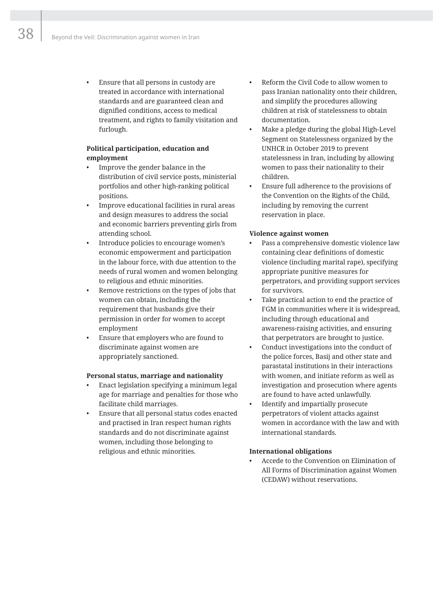• Ensure that all persons in custody are treated in accordance with international standards and are guaranteed clean and dignified conditions, access to medical treatment, and rights to family visitation and furlough.

#### **Political participation, education and employment**

- Improve the gender balance in the distribution of civil service posts, ministerial portfolios and other high-ranking political positions.
- Improve educational facilities in rural areas and design measures to address the social and economic barriers preventing girls from attending school.
- Introduce policies to encourage women's economic empowerment and participation in the labour force, with due attention to the needs of rural women and women belonging to religious and ethnic minorities.
- Remove restrictions on the types of jobs that women can obtain, including the requirement that husbands give their permission in order for women to accept employment
- Ensure that employers who are found to discriminate against women are appropriately sanctioned.

#### **Personal status, marriage and nationality**

- Enact legislation specifying a minimum legal age for marriage and penalties for those who facilitate child marriages.
- Ensure that all personal status codes enacted and practised in Iran respect human rights standards and do not discriminate against women, including those belonging to religious and ethnic minorities.
- Reform the Civil Code to allow women to pass Iranian nationality onto their children, and simplify the procedures allowing children at risk of statelessness to obtain documentation.
- Make a pledge during the global High-Level Segment on Statelessness organized by the UNHCR in October 2019 to prevent statelessness in Iran, including by allowing women to pass their nationality to their children.
- Ensure full adherence to the provisions of the Convention on the Rights of the Child, including by removing the current reservation in place.

#### **Violence against women**

- Pass a comprehensive domestic violence law containing clear definitions of domestic violence (including marital rape), specifying appropriate punitive measures for perpetrators, and providing support services for survivors.
- Take practical action to end the practice of FGM in communities where it is widespread, including through educational and awareness-raising activities, and ensuring that perpetrators are brought to justice.
- Conduct investigations into the conduct of the police forces, Basij and other state and parastatal institutions in their interactions with women, and initiate reform as well as investigation and prosecution where agents are found to have acted unlawfully.
- Identify and impartially prosecute perpetrators of violent attacks against women in accordance with the law and with international standards.

#### **International obligations**

• Accede to the Convention on Elimination of All Forms of Discrimination against Women (CEDAW) without reservations.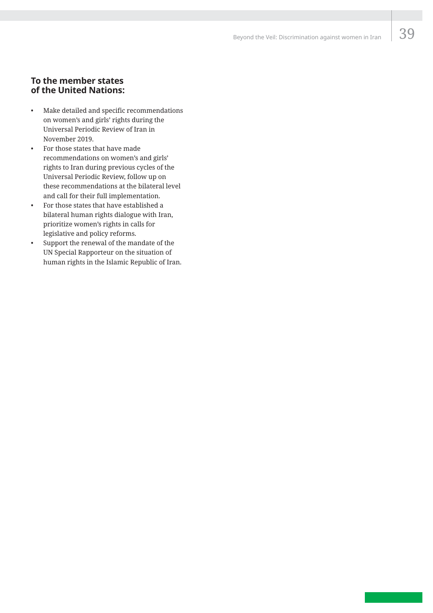#### **To the member states of the United Nations:**

- Make detailed and specific recommendations on women's and girls' rights during the Universal Periodic Review of Iran in November 2019.
- For those states that have made recommendations on women's and girls' rights to Iran during previous cycles of the Universal Periodic Review, follow up on these recommendations at the bilateral level and call for their full implementation.
- For those states that have established a bilateral human rights dialogue with Iran, prioritize women's rights in calls for legislative and policy reforms.
- Support the renewal of the mandate of the UN Special Rapporteur on the situation of human rights in the Islamic Republic of Iran.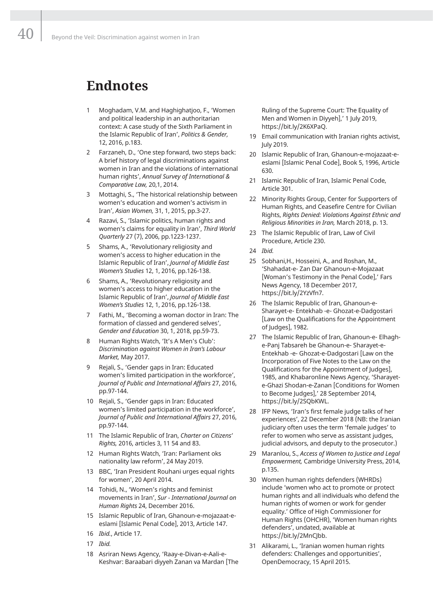## **Endnotes**

- 1 Moghadam, V.M. and Haghighatjoo, F., 'Women and political leadership in an authoritarian context: A case study of the Sixth Parliament in the Islamic Republic of Iran', *Politics & Gender,* 12, 2016, p.183.
- Farzaneh, D., 'One step forward, two steps back: A brief history of legal discriminations against women in Iran and the violations of international human rights', *Annual Survey of International & Comparative Law,* 20,1, 2014.
- 3 Mottaghi, S., 'The historical relationship between women's education and women's activism in Iran', *Asian Women,* 31, 1, 2015, pp.3-27.
- 4 Razavi, S., 'Islamic politics, human rights and women's claims for equality in Iran', *Third World Quarterly* 27 (7), 2006, pp.1223-1237.
- 5 Shams, A., 'Revolutionary religiosity and women's access to higher education in the Islamic Republic of Iran', *Journal of Middle East Women's Studies* 12, 1, 2016, pp.126-138.
- 6 Shams, A., 'Revolutionary religiosity and women's access to higher education in the Islamic Republic of Iran', *Journal of Middle East Women's Studies* 12, 1, 2016, pp.126-138.
- 7 Fathi, M., 'Becoming a woman doctor in Iran: The formation of classed and gendered selves', *Gender and Education* 30, 1, 2018, pp.59-73.
- Human Rights Watch, 'It's A Men's Club': *Discrimination against Women in Iran's Labour Market,* May 2017.
- 9 Rejali, S., 'Gender gaps in Iran: Educated women's limited participation in the workforce', *Journal of Public and International Affairs* 27, 2016, pp.97-144.
- 10 Rejali, S., 'Gender gaps in Iran: Educated women's limited participation in the workforce', *Journal of Public and International Affairs* 27, 2016, pp.97-144.
- 11 The Islamic Republic of Iran, *Charter on Citizens' Rights,* 2016, articles 3, 11 54 and 83.
- 12 Human Rights Watch, 'Iran: Parliament oks nationality law reform', 24 May 2019.
- 13 BBC, 'Iran President Rouhani urges equal rights for women', 20 April 2014.
- 14 Tohidi, N., 'Women's rights and feminist movements in Iran', *Sur - International Journal on Human Rights* 24, December 2016.
- 15 Islamic Republic of Iran, Ghanoun-e-mojazaat-eeslami [Islamic Penal Code], 2013, Article 147.
- 16 *Ibid.*, Article 17.
- 17 *Ibid.*
- 18 Asriran News Agency, 'Raay-e-Divan-e-Aali-e-Keshvar: Baraabari diyyeh Zanan va Mardan [The

Ruling of the Supreme Court: The Equality of Men and Women in Diyyeh],' 1 July 2019, https://bit.ly/2K6XPaQ.

- 19 Email communication with Iranian rights activist, July 2019.
- 20 Islamic Republic of Iran, Ghanoun-e-mojazaat-eeslami [Islamic Penal Code], Book 5, 1996, Article 630.
- 21 Islamic Republic of Iran, Islamic Penal Code, Article 301.
- 22 Minority Rights Group, Center for Supporters of Human Rights, and Ceasefire Centre for Civilian Rights, *Rights Denied: Violations Against Ethnic and Religious Minorities in Iran,* March 2018, p. 13.
- 23 The Islamic Republic of Iran, Law of Civil Procedure, Article 230.
- 24 *Ibid.*
- 25 Sobhani,H., Hosseini, A., and Roshan, M., 'Shahadat-e- Zan Dar Ghanoun-e-Mojazaat [Woman's Testimony in the Penal Code],' Fars News Agency, 18 December 2017, https://bit.ly/2YzVfn7.
- 26 The Islamic Republic of Iran, Ghanoun-e-Sharayet-e- Entekhab -e- Ghozat-e-Dadgostari [Law on the Qualifications for the Appointment of Judges], 1982.
- 27 The Islamic Republic of Iran, Ghanoun-e- Elhaghe-Panj Tabsareh be Ghanoun-e- Sharayet-e-Entekhab -e- Ghozat-e-Dadgostari [Law on the Incorporation of Five Notes to the Law on the Qualifications for the Appointment of Judges], 1985, and Khabaronline News Agency, 'Sharayete-Ghazi Shodan-e-Zanan [Conditions for Women to Become Judges],' 28 September 2014, https://bit.ly/2SQbKWL.
- 28 IFP News, 'Iran's first female judge talks of her experiences', 22 December 2018 (NB: the Iranian judiciary often uses the term 'female judges' to refer to women who serve as assistant judges, judicial advisors, and deputy to the prosecutor.)
- 29 Maranlou, S., *Access of Women to Justice and Legal Empowerment,* Cambridge University Press, 2014, p.135.
- 30 Women human rights defenders (WHRDs) include 'women who act to promote or protect human rights and all individuals who defend the human rights of women or work for gender equality.' Office of High Commissioner for Human Rights (OHCHR), 'Women human rights defenders', undated, available at https://bit.ly/2MnCJbb.
- 31 Alikarami, L., 'Iranian women human rights defenders: Challenges and opportunities', OpenDemocracy, 15 April 2015.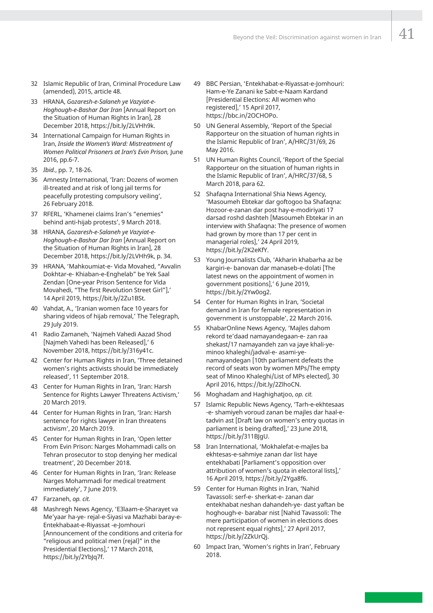- 32 Islamic Republic of Iran, Criminal Procedure Law (amended), 2015, article 48.
- 33 HRANA, *Gozaresh-e-Salaneh ye Vazyiat-e-Hoghough-e-Bashar Dar Iran* [Annual Report on the Situation of Human Rights in Iran], 28 December 2018, https://bit.ly/2LVHh9k.
- 34 International Campaign for Human Rights in Iran, *Inside the Women's Ward: Mistreatment of Women Political Prisoners at Iran's Evin Prison,* June 2016, pp.6-7.
- 35 *Ibid.*, pp. 7, 18-26.
- 36 Amnesty International, 'Iran: Dozens of women ill-treated and at risk of long jail terms for peacefully protesting compulsory veiling', 26 February 2018.
- 37 RFERL, 'Khamenei claims Iran's "enemies" behind anti-hijab protests', 9 March 2018.
- 38 HRANA, *Gozaresh-e-Salaneh ye Vazyiat-e-Hoghough-e-Bashar Dar Iran* [Annual Report on the Situation of Human Rights in Iran], 28 December 2018, https://bit.ly/2LVHh9k, p. 34.
- 39 HRANA, 'Mahkoumiat-e- Vida Movahed, "Avvalin Dokhtar-e- Khiaban-e-Enghelab" be Yek Saal Zendan [One-year Prison Sentence for Vida Movahedi, "The first Revolution Street Girl"],' 14 April 2019, https://bit.ly/2Zu1BSt.
- 40 Vahdat, A., 'Iranian women face 10 years for sharing videos of hijab removal,' The Telegraph, 29 July 2019.
- 41 Radio Zamaneh, 'Najmeh Vahedi Aazad Shod [Najmeh Vahedi has been Released],' 6 November 2018, https://bit.ly/316y41c.
- 42 Center for Human Rights in Iran, 'Three detained women's rights activists should be immediately released', 11 September 2018.
- 43 Center for Human Rights in Iran, 'Iran: Harsh Sentence for Rights Lawyer Threatens Activism,' 20 March 2019.
- 44 Center for Human Rights in Iran, 'Iran: Harsh sentence for rights lawyer in Iran threatens activism', 20 March 2019.
- 45 Center for Human Rights in Iran, 'Open letter From Evin Prison: Narges Mohammadi calls on Tehran prosecutor to stop denying her medical treatment', 20 December 2018.
- 46 Center for Human Rights in Iran, 'Iran: Release Narges Mohammadi for medical treatment immediately', 7 June 2019.
- 47 Farzaneh, *op. cit.*
- 48 Mashregh News Agency, 'E3laam-e-Sharayet va Me'yaar ha-ye- rejal-e-Siyasi va Mazhabi baray-e-Entekhabaat-e-Riyassat -e-Jomhouri [Announcement of the conditions and criteria for "religious and political men (rejal)" in the Presidential Elections],' 17 March 2018, https://bit.ly/2YbJq7f.
- 49 BBC Persian, 'Entekhabat-e-Riyassat-e-Jomhouri: Ham-e-Ye Zanani ke Sabt-e-Naam Kardand [Presidential Elections: All women who registered],' 15 April 2017, https://bbc.in/2OCHOPo.
- 50 UN General Assembly, 'Report of the Special Rapporteur on the situation of human rights in the Islamic Republic of Iran', A/HRC/31/69, 26 May 2016.
- 51 UN Human Rights Council, 'Report of the Special Rapporteur on the situation of human rights in the Islamic Republic of Iran', A/HRC/37/68, 5 March 2018, para 62.
- 52 Shafaqna International Shia News Agency, 'Masoumeh Ebtekar dar goftogoo ba Shafaqna: Hozoor-e-zanan dar post hay-e-modiriyati 17 darsad roshd dashteh [Masoumeh Ebtekar in an interview with Shafaqna: The presence of women had grown by more than 17 per cent in managerial roles],' 24 April 2019, https://bit.ly/2K2eKfY.
- 53 Young Journalists Club, 'Akharin khabarha az be kargiri-e- banovan dar manaseb-e-dolati [The latest news on the appointment of women in government positions],' 6 June 2019, https://bit.ly/2Yw0og2.
- 54 Center for Human Rights in Iran, 'Societal demand in Iran for female representation in government is unstoppable', 22 March 2016.
- 55 KhabarOnline News Agency, 'Majles dahom rekord te'daad namayandegaan-e- zan raa shekast/17 namayandeh zan va jaye khali-yeminoo khaleghi/jadval-e- asami-yenamayandegan [10th parliament defeats the record of seats won by women MPs/The empty seat of Minoo Khaleghi/List of MPs elected], 30 April 2016, https://bit.ly/2ZlhoCN.
- 56 Moghadam and Haghighatjoo, *op. cit.*
- 57 Islamic Republic News Agency, 'Tarh-e-ekhtesaas -e- shamiyeh voroud zanan be majles dar haal-etadvin ast [Draft law on women's entry quotas in parliament is being drafted],' 23 June 2018, https://bit.ly/311BJgU.
- 58 Iran International, 'Mokhalefat-e-majles ba ekhtesas-e-sahmiye zanan dar list haye entekhabati [Parliament's opposition over attribution of women's quota in electoral lists],' 16 April 2019, https://bit.ly/2Yga8f6.
- 59 Center for Human Rights in Iran, 'Nahid Tavassoli: serf-e- sherkat-e- zanan dar entekhabat neshan dahandeh-ye- dast yaftan be hoghough-e- barabar nist [Nahid Tavassoli: The mere participation of women in elections does not represent equal rights],' 27 April 2017, https://bit.ly/2ZkUrQj.
- 60 Impact Iran, 'Women's rights in Iran', February 2018.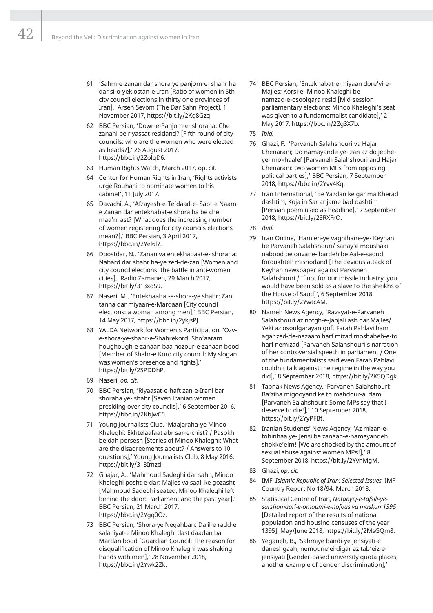- 61 'Sahm-e-zanan dar shora ye panjom-e- shahr ha dar si-o-yek ostan-e-Iran [Ratio of women in 5th city council elections in thirty one provinces of Iran],' Arseh Sevom (The Dar Sahn Project), 1 November 2017, https://bit.ly/2Kg8Gzg.
- 62 BBC Persian, 'Dowr-e-Panjom-e- shoraha: Che zanani be riyassat residand? [Fifth round of city councils: who are the women who were elected as heads?],' 26 August 2017, https://bbc.in/2ZolgD6.
- 63 Human Rights Watch, March 2017, op. cit.
- 64 Center for Human Rights in Iran, 'Rights activists urge Rouhani to nominate women to his cabinet', 11 July 2017.
- 65 Davachi, A., 'Afzayesh-e-Te'daad-e- Sabt-e Naame Zanan dar entekhabat-e shora ha be che maa'ni ast? [What does the increasing number of women registering for city councils elections mean?],' BBC Persian, 3 April 2017, https://bbc.in/2Yel6l7.
- 66 Doostdar, N., 'Zanan va entekhabaat-e- shoraha: Nabard dar shahr ha-ye zed-de-zan [Women and city council elections: the battle in anti-women cities],' Radio Zamaneh, 29 March 2017, https://bit.ly/313xqS9.
- 67 Naseri, M., 'Entekhaabat-e-shora-ye shahr: Zani tanha dar miyaan-e-Mardaan [City council elections: a woman among men],' BBC Persian, 14 May 2017, https://bbc.in/2ykjsPJ.
- 68 YALDA Network for Women's Participation, 'Ozve-shora-ye-shahr-e-Shahrekord: Sho'aaram houghough-e-zanaan baa hozour-e-zanaan bood [Member of Shahr-e Kord city council: My slogan was women's presence and rights],' https://bit.ly/2SPDDhP.
- 69 Naseri, *op. cit.*
- 70 BBC Persian, 'Riyaasat-e-haft zan-e-Irani bar shoraha ye- shahr [Seven Iranian women presiding over city councils],' 6 September 2016, https://bbc.in/2KbJwC5.
- 71 Young Journalists Club, 'Maajaraha-ye Minoo Khaleghi: Ekhtelaafaat abr sar-e-chist? / Pasokh be dah porsesh [Stories of Minoo Khaleghi: What are the disagreements about? / Answers to 10 questions],' Young Journalists Club, 8 May 2016, https://bit.ly/313Imzd.
- 72 Ghajar, A., 'Mahmoud Sadeghi dar sahn, Minoo Khaleghi posht-e-dar: Majles va saali ke gozasht [Mahmoud Sadeghi seated, Minoo Khaleghi left behind the door: Parliament and the past year],' BBC Persian, 21 March 2017, https://bbc.in/2Ygq0Oz.
- 73 BBC Persian, 'Shora-ye Negahban: Dalil-e radd-e salahiyat-e Minoo Khaleghi dast daadan ba Mardan bood [Guardian Council: The reason for disqualification of Minoo Khaleghi was shaking hands with men],' 28 November 2018, https://bbc.in/2Ywk2Zk.
- 74 BBC Persian, 'Entekhabat-e-miyaan dore'yi-e-Majles; Korsi-e- Minoo Khaleghi be namzad-e-osoolgara resid [Mid-session parliamentary elections: Minoo Khaleghi's seat was given to a fundamentalist candidate],' 21 May 2017, https://bbc.in/2Zg3X7b.
- 75 *Ibid.*
- 76 Ghazi, F., 'Parvaneh Salahshouri va Hajar Chenarani; Do namayande-ye- zan az do jebheye- mokhaalef [Parvaneh Salahshouri and Hajar Chenarani: two women MPs from opposing political parties],' BBC Persian, 7 September 2018, https://bbc.in/2Yvv4Kq.
- 77 Iran International, 'Be Yazdan ke gar ma Kherad dashtim, Koja in Sar anjame bad dashtim [Persian poem used as headline],' 7 September 2018, https://bit.ly/2SRXFrO.
- 78 *Ibid.*
- 79 Iran Online, 'Hamleh-ye vaghihane-ye- Keyhan be Parvaneh Salahshouri/ sanay'e moushaki nabood be onvane- bardeh be Aal-e-saoud foroukhteh mishodand [The devious attack of Keyhan newspaper against Parvaneh Salahshouri / If not for our missile industry, you would have been sold as a slave to the sheikhs of the House of Saud]', 6 September 2018, https://bit.ly/2YwtcAM.
- 80 Nameh News Agency, 'Ravayat-e-Parvaneh Salahshouri az notgh-e-Janjali ash dar Majles/ Yeki az osoulgarayan goft Farah Pahlavi ham agar zed-de-nezaam harf mizad moshabeh-e-to harf nemizad [Parvaneh Salahshouri's narration of her controversial speech in parliament / One of the fundamentalists said even Farah Pahlavi couldn't talk against the regime in the way you did],' 8 September 2018, https://bit.ly/2K5QDgk.
- 81 Tabnak News Agency, 'Parvaneh Salahshouri: Ba'ziha migooyand ke to mahdour-al dami! [Parvaneh Salahshouri: Some MPs say that I deserve to die!],' 10 September 2018, https://bit.ly/2YyPFBt.
- 82 Iranian Students' News Agency, 'Az mizan-etohinhaa ye- Jensi be zanaan-e-namayandeh shokke'eim! [We are shocked by the amount of sexual abuse against women MPs!],' 8 September 2018, https://bit.ly/2YvhMgM.
- 83 Ghazi, *op. cit.*
- 84 IMF, *Islamic Republic of Iran: Selected Issues,* IMF Country Report No 18/94, March 2018.
- 85 Statistical Centre of Iran, *Nataayej-e-tafsili-yesarshomaari-e-omoumi-e-nofous va maskan 1395* [Detailed report of the results of national population and housing censuses of the year 1395], May/June 2018, https://bit.ly/2MsGQm8.
- 86 Yeganeh, B., 'Sahmiye bandi-ye jensiyati-e daneshgaah; nemoune'ei digar az tab'eiz-ejensiyati [Gender-based university quota places; another example of gender discrimination],'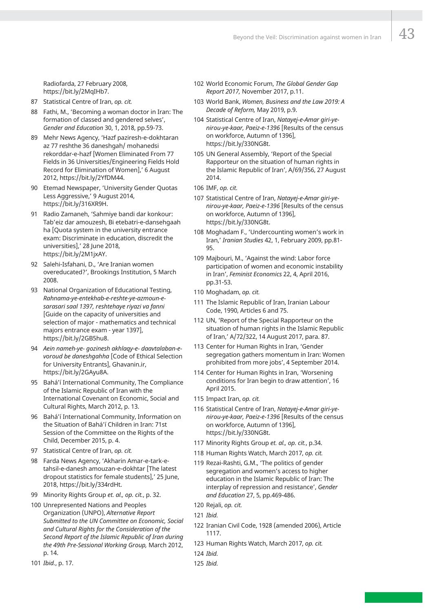Radiofarda, 27 February 2008, https://bit.ly/2MqIHb7.

- 87 Statistical Centre of Iran, *op. cit.*
- 88 Fathi, M., 'Becoming a woman doctor in Iran: The formation of classed and gendered selves', *Gender and Education* 30, 1, 2018, pp.59-73.
- 89 Mehr News Agency, 'Hazf paziresh-e-dokhtaran az 77 reshthe 36 daneshgah/ mohanedsi rekorddar-e-hazf [Women Eliminated From 77 Fields in 36 Universities/Engineering Fields Hold Record for Elimination of Women],' 6 August 2012, https://bit.ly/2YfDM44.
- 90 Etemad Newspaper, 'University Gender Quotas Less Aggressive,' 9 August 2014, https://bit.ly/316XR9H.
- 91 Radio Zamaneh, 'Sahmiye bandi dar konkour: Tab'eiz dar amouzesh, Bi etebatri-e-dansehgaah ha [Quota system in the university entrance exam: Discriminate in education, discredit the universities],' 28 June 2018, https://bit.ly/2M1jxAY.
- 92 Salehi-Isfahani, D., 'Are Iranian women overeducated?', Brookings Institution, 5 March 2008.
- 93 National Organization of Educational Testing, *Rahnama-ye-entekhab-e-reshte-ye-azmoun-esarasari saal 1397, reshtehaye riyazi va fanni* [Guide on the capacity of universities and selection of major - mathematics and technical majors entrance exam - year 1397], https://bit.ly/2GB5hu8.
- 94 *Aein nameh-ye- gozinesh akhlaqy-e- daavtalaban-evoroud be daneshgahha* [Code of Ethical Selection for University Entrants], Ghavanin.ir, https://bit.ly/2GAyu8A.
- 95 Bahá'í International Community, The Compliance of the Islamic Republic of Iran with the International Covenant on Economic, Social and Cultural Rights, March 2012, p. 13.
- 96 Bahá'í International Community, Information on the Situation of Bahá'í Children in Iran: 71st Session of the Committee on the Rights of the Child, December 2015, p. 4.
- 97 Statistical Centre of Iran, *op. cit.*
- 98 Farda News Agency, 'Akharin Amar-e-tark-etahsil-e-danesh amouzan-e-dokhtar [The latest dropout statistics for female students],' 25 June, 2018, https://bit.ly/334rdHt.
- 99 Minority Rights Group *et. al., op. cit.*, p. 32.
- 100 Unrepresented Nations and Peoples Organization (UNPO), *Alternative Report Submitted to the UN Committee on Economic, Social and Cultural Rights for the Consideration of the Second Report of the Islamic Republic of Iran during the 49th Pre-Sessional Working Group,* March 2012, p. 14.
- 101 *Ibid.*, p. 17.
- 102 World Economic Forum, *The Global Gender Gap Report 2017,* November 2017, p.11.
- 103 World Bank, *Women, Business and the Law 2019: A Decade of Reform,* May 2019, p.9.
- 104 Statistical Centre of Iran, *Natayej-e-Amar giri-yenirou-ye-kaar, Paeiz-e-1396* [Results of the census on workforce, Autumn of 1396], https://bit.ly/330NG8t.
- 105 UN General Assembly, 'Report of the Special Rapporteur on the situation of human rights in the Islamic Republic of Iran', A/69/356, 27 August 2014.
- 106 IMF, *op. cit.*
- 107 Statistical Centre of Iran, *Natayej-e-Amar giri-yenirou-ye-kaar, Paeiz-e-1396* [Results of the census on workforce, Autumn of 1396], https://bit.ly/330NG8t.
- 108 Moghadam F., 'Undercounting women's work in Iran,' *Iranian Studies* 42, 1, February 2009, pp.81- 95.
- 109 Majbouri, M., 'Against the wind: Labor force participation of women and economic instability in Iran', *Feminist Economics* 22, 4, April 2016, pp.31-53.
- 110 Moghadam, *op. cit.*
- 111 The Islamic Republic of Iran, Iranian Labour Code, 1990, Articles 6 and 75.
- 112 UN, 'Report of the Special Rapporteur on the situation of human rights in the Islamic Republic of Iran,' A/72/322, 14 August 2017, para. 87.
- 113 Center for Human Rights in Iran, 'Gender segregation gathers momentum in Iran: Women prohibited from more jobs', 4 September 2014.
- 114 Center for Human Rights in Iran, 'Worsening conditions for Iran begin to draw attention', 16 April 2015.
- 115 Impact Iran, *op. cit.*
- 116 Statistical Centre of Iran, *Natayej-e-Amar giri-yenirou-ye-kaar, Paeiz-e-1396* [Results of the census on workforce, Autumn of 1396], https://bit.ly/330NG8t.
- 117 Minority Rights Group *et. al., op. cit.*, p.34.
- 118 Human Rights Watch, March 2017, *op. cit.*
- 119 Rezai-Rashti, G.M., 'The politics of gender segregation and women's access to higher education in the Islamic Republic of Iran: The interplay of repression and resistance', *Gender and Education* 27, 5, pp.469-486.
- 120 Rejali, *op. cit.*
- 121 *Ibid.*
- 122 Iranian Civil Code, 1928 (amended 2006), Article 1117.
- 123 Human Rights Watch, March 2017, *op. cit.*
- 124 *Ibid.*
- 125 *Ibid.*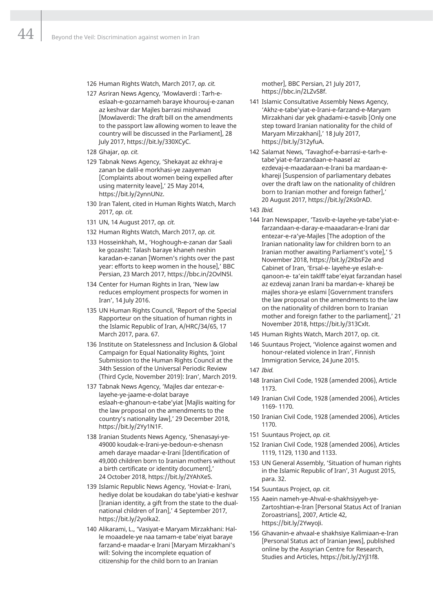44

- 126 Human Rights Watch, March 2017, *op. cit.*
- 127 Asriran News Agency, 'Mowlaverdi : Tarh-eeslaah-e-gozarnameh baraye khourouj-e-zanan az keshvar dar Majles barrasi mishavad [Mowlaverdi: The draft bill on the amendments to the passport law allowing women to leave the country will be discussed in the Parliament], 28 July 2017, https://bit.ly/330XCyC.
- 128 Ghajar, *op. cit.*
- 129 Tabnak News Agency, 'Shekayat az ekhraj-e zanan be dalil-e morkhasi-ye zaayeman [Complaints about women being expelled after using maternity leave],' 25 May 2014, https://bit.ly/2ynnUNz.
- 130 Iran Talent, cited in Human Rights Watch, March 2017, *op. cit.*
- 131 UN, 14 August 2017, *op. cit.*
- 132 Human Rights Watch, March 2017, *op. cit.*
- 133 Hosseinkhah, M., 'Hoghough-e-zanan dar Saali ke gozasht: Talash baraye khaneh neshin karadan-e-zanan [Women's rights over the past year: efforts to keep women in the house],' BBC Persian, 23 March 2017, https://bbc.in/2OvlN5l.
- 134 Center for Human Rights in Iran, 'New law reduces employment prospects for women in Iran', 14 July 2016.
- 135 UN Human Rights Council, 'Report of the Special Rapporteur on the situation of human rights in the Islamic Republic of Iran, A/HRC/34/65, 17 March 2017, para. 67.
- 136 Institute on Statelessness and Inclusion & Global Campaign for Equal Nationality Rights, 'Joint Submission to the Human Rights Council at the 34th Session of the Universal Periodic Review (Third Cycle, November 2019): Iran', March 2019.
- 137 Tabnak News Agency, 'Majles dar entezar-elayehe-ye-jaame-e-dolat baraye eslaah-e-ghanoun-e-tabe'yiat [Majlis waiting for the law proposal on the amendments to the country's nationality law],' 29 December 2018, https://bit.ly/2Yy1N1F.
- 138 Iranian Students News Agency, 'Shenasayi-ye-49000 koudak-e-Irani-ye-bedoun-e-shenasn ameh daraye maadar-e-Irani [Identification of 49,000 children born to Iranian mothers without a birth certificate or identity document],' 24 October 2018, https://bit.ly/2YAhXeS.
- 139 Islamic Republic News Agency, 'Hoviat-e- Irani, hediye dolat be koudakan do tabe'yiati-e keshvar [Iranian identity, a gift from the state to the dualnational children of Iran],' 4 September 2017, https://bit.ly/2yolka2.
- 140 Alikarami, L., 'Vasiyat-e Maryam Mirzakhani: Halle moaadele-ye naa tamam-e tabe'eiyat baraye farzand-e maadar-e Irani [Maryam Mirzakhani's will: Solving the incomplete equation of citizenship for the child born to an Iranian

mother], BBC Persian, 21 July 2017, https://bbc.in/2LZvS8f.

- 141 Islamic Consultative Assembly News Agency, 'Akhz-e-tabe'yiat-e-Irani-e-farzand-e-Maryam Mirzakhani dar yek ghadami-e-tasvib [Only one step toward Iranian nationality for the child of Maryam Mirzakhani],' 18 July 2017, https://bit.ly/312yfuA.
- 142 Salamat News, 'Tavaghof-e-barrasi-e-tarh-etabe'yiat-e-farzandaan-e-haasel az ezdevaj-e-maadaraan-e-Irani ba mardaan-ekhareji [Suspension of parliamentary debates over the draft law on the nationality of children born to Iranian mother and foreign father],' 20 August 2017, https://bit.ly/2Ks0rAD.
- 143 *Ibid.*
- 144 Iran Newspaper, 'Tasvib-e-layehe-ye-tabe'yiat-efarzandaan-e-daray-e-maaadaran-e-Irani dar entezar-e-ra'ye-Majles [The adoption of the Iranian nationality law for children born to an Iranian mother awaiting Parliament's vote],' 5 November 2018, https://bit.ly/2KbsF2e and Cabinet of Iran, 'Ersal-e- layehe-ye eslah-eqanoon-e- ta'ein taklff tabe'eiyat farzandan hasel az ezdevaj zanan Irani ba mardan-e- khareji be majles shora-ye eslami [Government transfers the law proposal on the amendments to the law on the nationality of children born to Iranian mother and foreign father to the parliament],' 21 November 2018, https://bit.ly/313Cxlt.
- 145 Human Rights Watch, March 2017, op. cit.
- 146 Suuntaus Project, 'Violence against women and honour-related violence in Iran', Finnish Immigration Service, 24 June 2015.
- 147 *Ibid.*
- 148 Iranian Civil Code, 1928 (amended 2006), Article 1173.
- 149 Iranian Civil Code, 1928 (amended 2006), Articles 1169- 1170.
- 150 Iranian Civil Code, 1928 (amended 2006), Articles 1170.
- 151 Suuntaus Project, *op. cit.*
- 152 Iranian Civil Code, 1928 (amended 2006), Articles 1119, 1129, 1130 and 1133.
- 153 UN General Assembly, 'Situation of human rights in the Islamic Republic of Iran', 31 August 2015, para. 32.
- 154 Suuntaus Project, *op. cit.*
- 155 Aaein nameh-ye-Ahval-e-shakhsiyyeh-ye-Zartoshtian-e-Iran [Personal Status Act of Iranian Zoroastrians], 2007, Article 42, https://bit.ly/2Ywyoli.
- 156 Ghavanin-e ahvaal-e shakhsiye Kalimiaan-e-Iran [Personal Status act of Iranian Jews], published online by the Assyrian Centre for Research, Studies and Articles, https://bit.ly/2YjI1f8.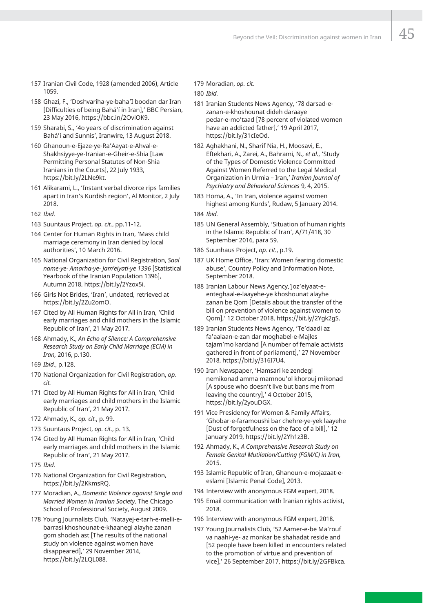- 157 Iranian Civil Code, 1928 (amended 2006), Article 1059.
- 158 Ghazi, F., 'Doshvariha-ye-baha'I boodan dar Iran [Difficulties of being Bahá'í in Iran],' BBC Persian, 23 May 2016, https://bbc.in/2OviOK9.
- 159 Sharabi, S., '4o years of discrimination against Bahá'í and Sunnis', Iranwire, 13 August 2018.
- 160 Ghanoun-e-Ejaze-ye-Ra'Aayat-e-Ahval-e-Shakhsiyye-ye-Iranian-e-Gheir-e-Shia [Law Permitting Personal Statutes of Non-Shia Iranians in the Courts], 22 July 1933, https://bit.ly/2LNe9kt.
- 161 Alikarami, L., 'Instant verbal divorce rips families apart in Iran's Kurdish region', Al Monitor, 2 July 2018.
- 162 *Ibid.*
- 163 Suuntaus Project, *op. cit.*, pp.11-12.
- 164 Center for Human Rights in Iran, 'Mass child marriage ceremony in Iran denied by local authorities', 10 March 2016.
- 165 National Organization for Civil Registration, *Saal name-ye- Amarha-ye- Jam'eiyati-ye 1396* [Statistical Yearbook of the Iranian Population 1396], Autumn 2018, https://bit.ly/2Yzox5i.
- 166 Girls Not Brides, 'Iran', undated, retrieved at https://bit.ly/2Zu2omO.
- 167 Cited by All Human Rights for All in Iran, 'Child early marriages and child mothers in the Islamic Republic of Iran', 21 May 2017.
- 168 Ahmady, K., *An Echo of Silence: A Comprehensive Research Study on Early Child Marriage (ECM) in Iran,* 2016, p.130.
- 169 *Ibid.*, p.128.
- 170 National Organization for Civil Registration, *op. cit.*
- 171 Cited by All Human Rights for All in Iran, 'Child early marriages and child mothers in the Islamic Republic of Iran', 21 May 2017.
- 172 Ahmady, K., *op. cit.*, p. 99.
- 173 Suuntaus Project, *op. cit.*, p. 13.
- 174 Cited by All Human Rights for All in Iran, 'Child early marriages and child mothers in the Islamic Republic of Iran', 21 May 2017.
- 175 *Ibid.*
- 176 National Organization for Civil Registration, https://bit.ly/2KkmsRQ.
- 177 Moradian, A., *Domestic Violence against Single and Married Women in Iranian Society,* The Chicago School of Professional Society, August 2009.
- 178 Young Journalists Club, 'Natayej-e-tarh-e-melli-ebarrasi khoshounat-e-khaanegi alayhe zanan gom shodeh ast [The results of the national study on violence against women have disappeared],' 29 November 2014, https://bit.ly/2LQL088.

179 Moradian, *op. cit.* 

180 *Ibid.*

- 181 Iranian Students News Agency, '78 darsad-ezanan-e-khoshounat dideh daraaye pedar-e-mo'taad [78 percent of violated women have an addicted father],' 19 April 2017, https://bit.ly/31cIeOd.
- 182 Aghakhani, N., Sharif Nia, H., Moosavi, E., Eftekhari, A., Zarei, A., Bahrami, N., *et al.*, 'Study of the Types of Domestic Violence Committed Against Women Referred to the Legal Medical Organization in Urmia – Iran,' *Iranian Journal of Psychiatry and Behavioral Sciences* 9, 4, 2015.
- 183 Homa, A., 'In Iran, violence against women highest among Kurds', Rudaw, 5 January 2014. 184 *Ibid.*
- 185 UN General Assembly, 'Situation of human rights in the Islamic Republic of Iran', A/71/418, 30 September 2016, para 59.
- 186 Suunhaus Project, *op. cit.*, p.19.
- 187 UK Home Office, 'Iran: Women fearing domestic abuse', Country Policy and Information Note, September 2018.
- 188 Iranian Labour News Agency,'Joz'eiyaat-eenteghaal-e-laayehe-ye khoshounat alayhe zanan be Qom [Details about the transfer of the bill on prevention of violence against women to Qom],' 12 October 2018, https://bit.ly/2Ygk2gS.
- 189 Iranian Students News Agency, 'Te'daadi az fa'aalaan-e-zan dar moghabel-e-Majles tajam'mo kardand [A number of female activists gathered in front of parliament],' 27 November 2018, https://bit.ly/316I7U4.
- 190 Iran Newspaper, 'Hamsari ke zendegi nemikonad amma mamnou'ol khorouj mikonad [A spouse who doesn't live but bans me from leaving the country],' 4 October 2015, https://bit.ly/2youDGX.
- 191 Vice Presidency for Women & Family Affairs, 'Ghobar-e-faramoushi bar chehre-ye-yek laayehe [Dust of forgetfulness on the face of a bill],' 12 January 2019, https://bit.ly/2Yh1z3B.
- 192 Ahmady, K., *A Comprehensive Research Study on Female Genital Mutilation/Cutting (FGM/C) in Iran,* 2015.
- 193 Islamic Republic of Iran, Ghanoun-e-mojazaat-eeslami [Islamic Penal Code], 2013.
- 194 Interview with anonymous FGM expert, 2018.
- 195 Email communication with Iranian rights activist, 2018.
- 196 Interview with anonymous FGM expert, 2018.
- 197 Young Journalists Club, '52 Aamer-e-be Ma'rouf va naahi-ye- az monkar be shahadat reside and [52 people have been killed in encounters related to the promotion of virtue and prevention of vice],' 26 September 2017, https://bit.ly/2GFBkca.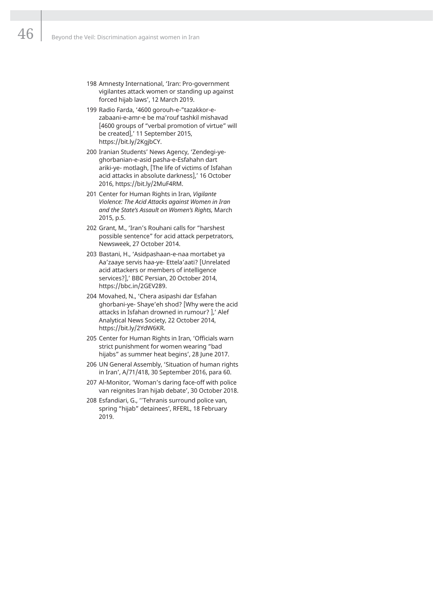- 198 Amnesty International, 'Iran: Pro-government vigilantes attack women or standing up against forced hijab laws', 12 March 2019.
- 199 Radio Farda, '4600 gorouh-e-"tazakkor-ezabaani-e-amr-e be ma'rouf tashkil mishavad [4600 groups of "verbal promotion of virtue" will be created],' 11 September 2015, https://bit.ly/2KgjbCY.
- 200 Iranian Students' News Agency, 'Zendegi-yeghorbanian-e-asid pasha-e-Esfahahn dart ariki-ye- motlagh, [The life of victims of Isfahan acid attacks in absolute darkness],' 16 October 2016, https://bit.ly/2MuF4RM.
- 201 Center for Human Rights in Iran, *Vigilante Violence: The Acid Attacks against Women in Iran and the State's Assault on Women's Rights,* March 2015, p.5.
- 202 Grant, M., 'Iran's Rouhani calls for "harshest possible sentence" for acid attack perpetrators, Newsweek, 27 October 2014.
- 203 Bastani, H., 'Asidpashaan-e-naa mortabet ya Aa'zaaye servis haa-ye- Ettela'aati? [Unrelated acid attackers or members of intelligence services?],' BBC Persian, 20 October 2014, https://bbc.in/2GEV289.
- 204 Movahed, N., 'Chera asipashi dar Esfahan ghorbani-ye- Shaye'eh shod? [Why were the acid attacks in Isfahan drowned in rumour? ],' Alef Analytical News Society, 22 October 2014, https://bit.ly/2YdW6KR.
- 205 Center for Human Rights in Iran, 'Officials warn strict punishment for women wearing "bad hijabs" as summer heat begins', 28 June 2017.
- 206 UN General Assembly, 'Situation of human rights in Iran', A/71/418, 30 September 2016, para 60.
- 207 Al-Monitor, 'Woman's daring face-off with police van reignites Iran hijab debate', 30 October 2018.
- 208 Esfandiari, G., ''Tehranis surround police van, spring "hijab" detainees', RFERL, 18 February 2019.